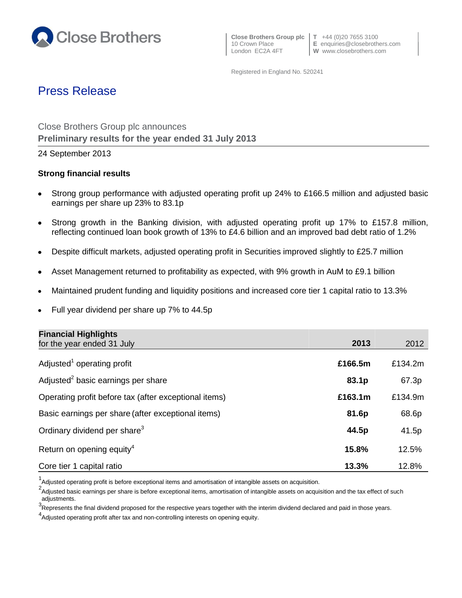

 **Close Brothers Group plc T** +44 (0)20 7655 3100 London EC2A 4FT **W** www.closebrothers.com

10 Crown Place **E** enquiries@closebrothers.com

Registered in England No. 520241

# Press Release

Close Brothers Group plc announces **Preliminary results for the year ended 31 July 2013**

24 September 2013

## **Strong financial results**

- Strong group performance with adjusted operating profit up 24% to £166.5 million and adjusted basic earnings per share up 23% to 83.1p
- Strong growth in the Banking division, with adjusted operating profit up 17% to £157.8 million,  $\bullet$ reflecting continued loan book growth of 13% to £4.6 billion and an improved bad debt ratio of 1.2%
- Despite difficult markets, adjusted operating profit in Securities improved slightly to £25.7 million
- Asset Management returned to profitability as expected, with 9% growth in AuM to £9.1 billion
- Maintained prudent funding and liquidity positions and increased core tier 1 capital ratio to 13.3%
- Full year dividend per share up 7% to 44.5p  $\bullet$

| <b>Financial Highlights</b>                           |         |         |
|-------------------------------------------------------|---------|---------|
| for the year ended 31 July                            | 2013    | 2012    |
| Adjusted <sup>1</sup> operating profit                | £166.5m | £134.2m |
| Adjusted <sup>2</sup> basic earnings per share        | 83.1p   | 67.3p   |
| Operating profit before tax (after exceptional items) | £163.1m | £134.9m |
| Basic earnings per share (after exceptional items)    | 81.6p   | 68.6p   |
| Ordinary dividend per share <sup>3</sup>              | 44.5p   | 41.5p   |
| Return on opening equity <sup>4</sup>                 | 15.8%   | 12.5%   |
| Core tier 1 capital ratio                             | 13.3%   | 12.8%   |

 $1$ Adjusted operating profit is before exceptional items and amortisation of intangible assets on acquisition.

<sup>&</sup>lt;sup>2</sup>Adjusted basic earnings per share is before exceptional items, amortisation of intangible assets on acquisition and the tax effect of such adjustments.

<sup>3.</sup> The presents the final dividend proposed for the respective years together with the interim dividend declared and paid in those years.

<sup>&</sup>lt;sup>4</sup> Adjusted operating profit after tax and non-controlling interests on opening equity.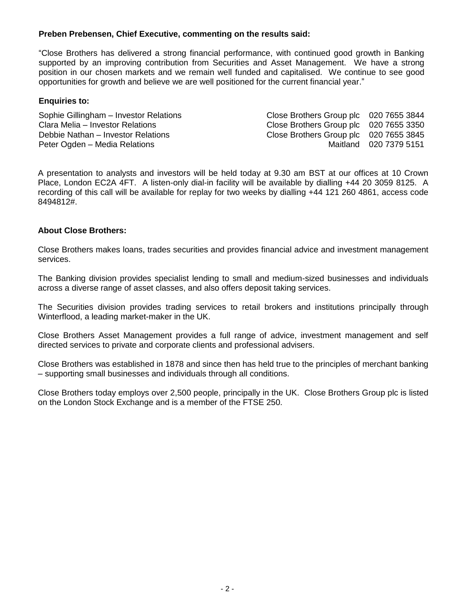## **Preben Prebensen, Chief Executive, commenting on the results said:**

"Close Brothers has delivered a strong financial performance, with continued good growth in Banking supported by an improving contribution from Securities and Asset Management. We have a strong position in our chosen markets and we remain well funded and capitalised. We continue to see good opportunities for growth and believe we are well positioned for the current financial year."

#### **Enquiries to:**

Sophie Gillingham – Investor Relations Close Brothers Group plc 020 7655 3844 Clara Melia – Investor Relations Close Brothers Group plc 020 7655 3350 Debbie Nathan – Investor Relations Close Brothers Group plc 020 7655 3845 Peter Ogden – Media Relations and a series of the Maitland 020 7379 5151

A presentation to analysts and investors will be held today at 9.30 am BST at our offices at 10 Crown Place, London EC2A 4FT. A listen-only dial-in facility will be available by dialling +44 20 3059 8125. A recording of this call will be available for replay for two weeks by dialling +44 121 260 4861, access code 8494812#.

### **About Close Brothers:**

Close Brothers makes loans, trades securities and provides financial advice and investment management services.

The Banking division provides specialist lending to small and medium-sized businesses and individuals across a diverse range of asset classes, and also offers deposit taking services.

The Securities division provides trading services to retail brokers and institutions principally through Winterflood, a leading market-maker in the UK.

Close Brothers Asset Management provides a full range of advice, investment management and self directed services to private and corporate clients and professional advisers.

Close Brothers was established in 1878 and since then has held true to the principles of merchant banking – supporting small businesses and individuals through all conditions.

Close Brothers today employs over 2,500 people, principally in the UK. Close Brothers Group plc is listed on the London Stock Exchange and is a member of the FTSE 250.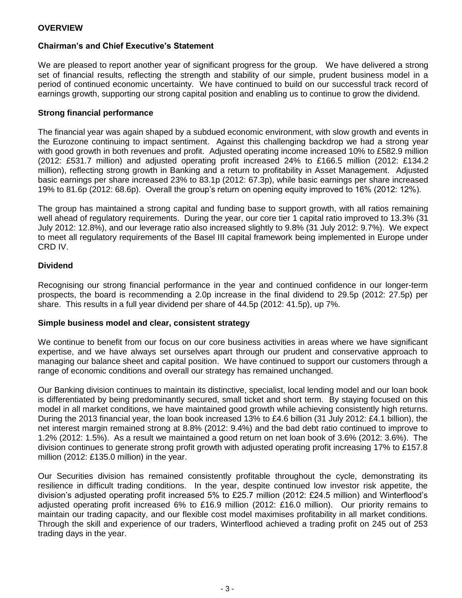## **OVERVIEW**

## **Chairman's and Chief Executive's Statement**

We are pleased to report another year of significant progress for the group. We have delivered a strong set of financial results, reflecting the strength and stability of our simple, prudent business model in a period of continued economic uncertainty. We have continued to build on our successful track record of earnings growth, supporting our strong capital position and enabling us to continue to grow the dividend.

#### **Strong financial performance**

The financial year was again shaped by a subdued economic environment, with slow growth and events in the Eurozone continuing to impact sentiment. Against this challenging backdrop we had a strong year with good growth in both revenues and profit. Adjusted operating income increased 10% to £582.9 million (2012: £531.7 million) and adjusted operating profit increased 24% to £166.5 million (2012: £134.2 million), reflecting strong growth in Banking and a return to profitability in Asset Management. Adjusted basic earnings per share increased 23% to 83.1p (2012: 67.3p), while basic earnings per share increased 19% to 81.6p (2012: 68.6p). Overall the group's return on opening equity improved to 16% (2012: 12%).

The group has maintained a strong capital and funding base to support growth, with all ratios remaining well ahead of regulatory requirements. During the year, our core tier 1 capital ratio improved to 13.3% (31 July 2012: 12.8%), and our leverage ratio also increased slightly to 9.8% (31 July 2012: 9.7%). We expect to meet all regulatory requirements of the Basel III capital framework being implemented in Europe under CRD IV.

#### **Dividend**

Recognising our strong financial performance in the year and continued confidence in our longer-term prospects, the board is recommending a 2.0p increase in the final dividend to 29.5p (2012: 27.5p) per share. This results in a full year dividend per share of 44.5p (2012: 41.5p), up 7%.

#### **Simple business model and clear, consistent strategy**

We continue to benefit from our focus on our core business activities in areas where we have significant expertise, and we have always set ourselves apart through our prudent and conservative approach to managing our balance sheet and capital position. We have continued to support our customers through a range of economic conditions and overall our strategy has remained unchanged.

Our Banking division continues to maintain its distinctive, specialist, local lending model and our loan book is differentiated by being predominantly secured, small ticket and short term. By staying focused on this model in all market conditions, we have maintained good growth while achieving consistently high returns. During the 2013 financial year, the loan book increased 13% to £4.6 billion (31 July 2012: £4.1 billion), the net interest margin remained strong at 8.8% (2012: 9.4%) and the bad debt ratio continued to improve to 1.2% (2012: 1.5%). As a result we maintained a good return on net loan book of 3.6% (2012: 3.6%). The division continues to generate strong profit growth with adjusted operating profit increasing 17% to £157.8 million (2012: £135.0 million) in the year.

Our Securities division has remained consistently profitable throughout the cycle, demonstrating its resilience in difficult trading conditions. In the year, despite continued low investor risk appetite, the division's adjusted operating profit increased 5% to £25.7 million (2012: £24.5 million) and Winterflood's adjusted operating profit increased 6% to £16.9 million (2012: £16.0 million). Our priority remains to maintain our trading capacity, and our flexible cost model maximises profitability in all market conditions. Through the skill and experience of our traders, Winterflood achieved a trading profit on 245 out of 253 trading days in the year.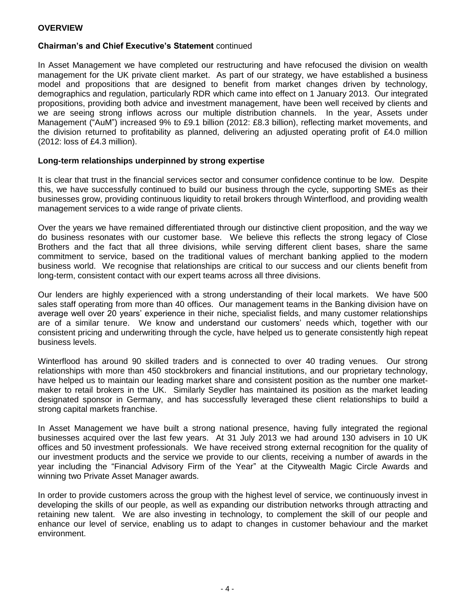## **OVERVIEW**

### **Chairman's and Chief Executive's Statement** continued

In Asset Management we have completed our restructuring and have refocused the division on wealth management for the UK private client market. As part of our strategy, we have established a business model and propositions that are designed to benefit from market changes driven by technology, demographics and regulation, particularly RDR which came into effect on 1 January 2013. Our integrated propositions, providing both advice and investment management, have been well received by clients and we are seeing strong inflows across our multiple distribution channels. In the year, Assets under Management ("AuM") increased 9% to £9.1 billion (2012: £8.3 billion), reflecting market movements, and the division returned to profitability as planned, delivering an adjusted operating profit of £4.0 million (2012: loss of £4.3 million).

#### **Long-term relationships underpinned by strong expertise**

It is clear that trust in the financial services sector and consumer confidence continue to be low. Despite this, we have successfully continued to build our business through the cycle, supporting SMEs as their businesses grow, providing continuous liquidity to retail brokers through Winterflood, and providing wealth management services to a wide range of private clients.

Over the years we have remained differentiated through our distinctive client proposition, and the way we do business resonates with our customer base. We believe this reflects the strong legacy of Close Brothers and the fact that all three divisions, while serving different client bases, share the same commitment to service, based on the traditional values of merchant banking applied to the modern business world. We recognise that relationships are critical to our success and our clients benefit from long-term, consistent contact with our expert teams across all three divisions.

Our lenders are highly experienced with a strong understanding of their local markets. We have 500 sales staff operating from more than 40 offices. Our management teams in the Banking division have on average well over 20 years' experience in their niche, specialist fields, and many customer relationships are of a similar tenure. We know and understand our customers' needs which, together with our consistent pricing and underwriting through the cycle, have helped us to generate consistently high repeat business levels.

Winterflood has around 90 skilled traders and is connected to over 40 trading venues. Our strong relationships with more than 450 stockbrokers and financial institutions, and our proprietary technology, have helped us to maintain our leading market share and consistent position as the number one marketmaker to retail brokers in the UK. Similarly Seydler has maintained its position as the market leading designated sponsor in Germany, and has successfully leveraged these client relationships to build a strong capital markets franchise.

In Asset Management we have built a strong national presence, having fully integrated the regional businesses acquired over the last few years. At 31 July 2013 we had around 130 advisers in 10 UK offices and 50 investment professionals. We have received strong external recognition for the quality of our investment products and the service we provide to our clients, receiving a number of awards in the year including the "Financial Advisory Firm of the Year" at the Citywealth Magic Circle Awards and winning two Private Asset Manager awards.

In order to provide customers across the group with the highest level of service, we continuously invest in developing the skills of our people, as well as expanding our distribution networks through attracting and retaining new talent. We are also investing in technology, to complement the skill of our people and enhance our level of service, enabling us to adapt to changes in customer behaviour and the market environment.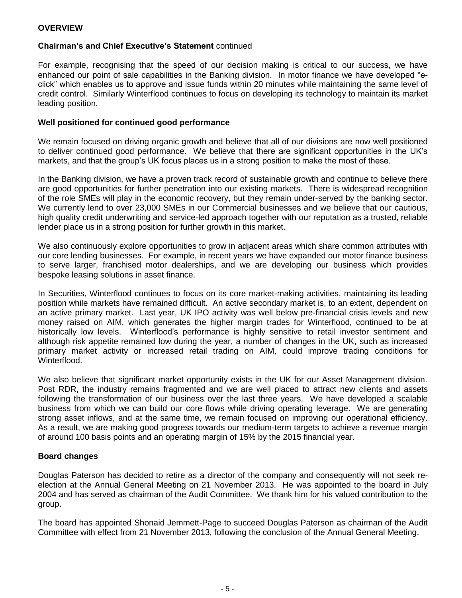## **Chairman's and Chief Executive's Statement** continued

For example, recognising that the speed of our decision making is critical to our success, we have enhanced our point of sale capabilities in the Banking division. In motor finance we have developed "eclick" which enables us to approve and issue funds within 20 minutes while maintaining the same level of credit control. Similarly Winterflood continues to focus on developing its technology to maintain its market leading position.

### **Well positioned for continued good performance**

We remain focused on driving organic growth and believe that all of our divisions are now well positioned to deliver continued good performance. We believe that there are significant opportunities in the UK's markets, and that the group's UK focus places us in a strong position to make the most of these.

In the Banking division, we have a proven track record of sustainable growth and continue to believe there are good opportunities for further penetration into our existing markets. There is widespread recognition of the role SMEs will play in the economic recovery, but they remain under-served by the banking sector. We currently lend to over 23,000 SMEs in our Commercial businesses and we believe that our cautious, high quality credit underwriting and service-led approach together with our reputation as a trusted, reliable lender place us in a strong position for further growth in this market.

We also continuously explore opportunities to grow in adjacent areas which share common attributes with our core lending businesses. For example, in recent years we have expanded our motor finance business to serve larger, franchised motor dealerships, and we are developing our business which provides bespoke leasing solutions in asset finance.

In Securities, Winterflood continues to focus on its core market-making activities, maintaining its leading position while markets have remained difficult. An active secondary market is, to an extent, dependent on an active primary market. Last year, UK IPO activity was well below pre-financial crisis levels and new money raised on AIM, which generates the higher margin trades for Winterflood, continued to be at historically low levels. Winterflood's performance is highly sensitive to retail investor sentiment and although risk appetite remained low during the year, a number of changes in the UK, such as increased primary market activity or increased retail trading on AIM, could improve trading conditions for Winterflood.

We also believe that significant market opportunity exists in the UK for our Asset Management division. Post RDR, the industry remains fragmented and we are well placed to attract new clients and assets following the transformation of our business over the last three years. We have developed a scalable business from which we can build our core flows while driving operating leverage. We are generating strong asset inflows, and at the same time, we remain focused on improving our operational efficiency. As a result, we are making good progress towards our medium-term targets to achieve a revenue margin of around 100 basis points and an operating margin of 15% by the 2015 financial year.

#### **Board changes**

Douglas Paterson has decided to retire as a director of the company and consequently will not seek reelection at the Annual General Meeting on 21 November 2013. He was appointed to the board in July 2004 and has served as chairman of the Audit Committee. We thank him for his valued contribution to the group.

The board has appointed Shonaid Jemmett-Page to succeed Douglas Paterson as chairman of the Audit Committee with effect from 21 November 2013, following the conclusion of the Annual General Meeting.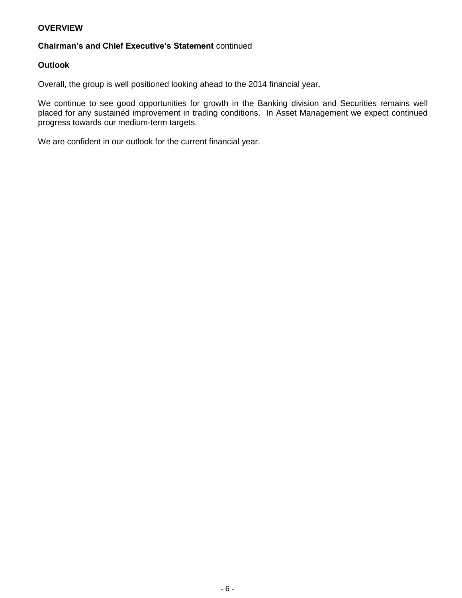## **OVERVIEW**

## **Chairman's and Chief Executive's Statement** continued

### **Outlook**

Overall, the group is well positioned looking ahead to the 2014 financial year.

We continue to see good opportunities for growth in the Banking division and Securities remains well placed for any sustained improvement in trading conditions. In Asset Management we expect continued progress towards our medium-term targets.

We are confident in our outlook for the current financial year.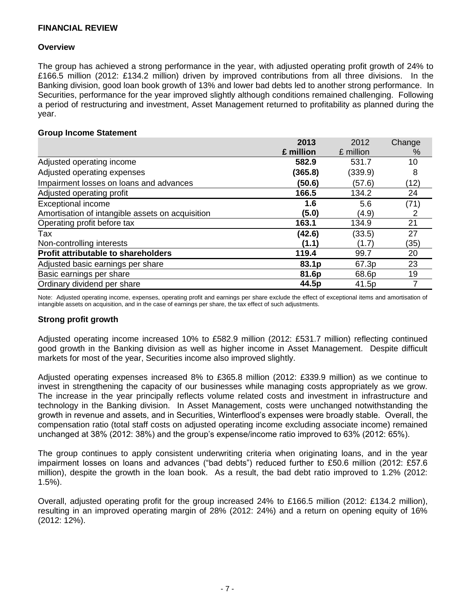#### **Overview**

The group has achieved a strong performance in the year, with adjusted operating profit growth of 24% to £166.5 million (2012: £134.2 million) driven by improved contributions from all three divisions. In the Banking division, good loan book growth of 13% and lower bad debts led to another strong performance. In Securities, performance for the year improved slightly although conditions remained challenging. Following a period of restructuring and investment, Asset Management returned to profitability as planned during the year.

**2013**

 $2010$ 

#### **Group Income Statement**

|                                                  | 2013      | 2012      | Change |
|--------------------------------------------------|-----------|-----------|--------|
|                                                  | £ million | £ million | ℅      |
| Adjusted operating income                        | 582.9     | 531.7     | 10     |
| Adjusted operating expenses                      | (365.8)   | (339.9)   | 8      |
| Impairment losses on loans and advances          | (50.6)    | (57.6)    | (12)   |
| Adjusted operating profit                        | 166.5     | 134.2     | 24     |
| <b>Exceptional income</b>                        | 1.6       | 5.6       | (71)   |
| Amortisation of intangible assets on acquisition | (5.0)     | (4.9)     | 2      |
| Operating profit before tax                      | 163.1     | 134.9     | 21     |
| Tax                                              | (42.6)    | (33.5)    | 27     |
| Non-controlling interests                        | (1.1)     | (1.7)     | (35)   |
| Profit attributable to shareholders              | 119.4     | 99.7      | 20     |
| Adjusted basic earnings per share                | 83.1p     | 67.3p     | 23     |
| Basic earnings per share                         | 81.6p     | 68.6p     | 19     |
| Ordinary dividend per share                      | 44.5p     | 41.5p     |        |

Note: Adjusted operating income, expenses, operating profit and earnings per share exclude the effect of exceptional items and amortisation of intangible assets on acquisition, and in the case of earnings per share, the tax effect of such adjustments.

#### **Strong profit growth**

Adjusted operating income increased 10% to £582.9 million (2012: £531.7 million) reflecting continued good growth in the Banking division as well as higher income in Asset Management. Despite difficult markets for most of the year, Securities income also improved slightly.

Adjusted operating expenses increased 8% to £365.8 million (2012: £339.9 million) as we continue to invest in strengthening the capacity of our businesses while managing costs appropriately as we grow. The increase in the year principally reflects volume related costs and investment in infrastructure and technology in the Banking division. In Asset Management, costs were unchanged notwithstanding the growth in revenue and assets, and in Securities, Winterflood's expenses were broadly stable. Overall, the compensation ratio (total staff costs on adjusted operating income excluding associate income) remained unchanged at 38% (2012: 38%) and the group's expense/income ratio improved to 63% (2012: 65%).

The group continues to apply consistent underwriting criteria when originating loans, and in the year impairment losses on loans and advances ("bad debts") reduced further to £50.6 million (2012: £57.6 million), despite the growth in the loan book. As a result, the bad debt ratio improved to 1.2% (2012: 1.5%).

Overall, adjusted operating profit for the group increased 24% to £166.5 million (2012: £134.2 million), resulting in an improved operating margin of 28% (2012: 24%) and a return on opening equity of 16% (2012: 12%).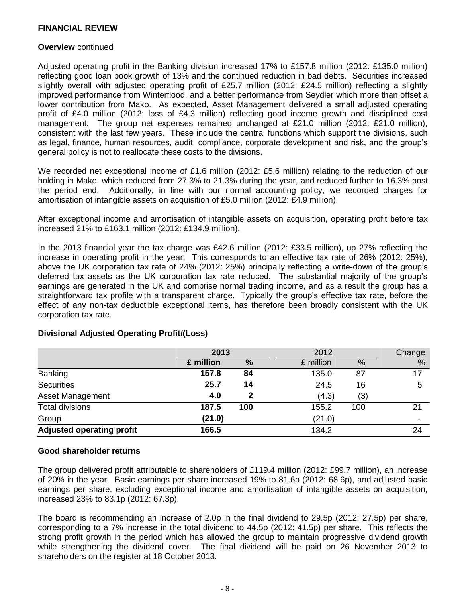#### **Overview** continued

Adjusted operating profit in the Banking division increased 17% to £157.8 million (2012: £135.0 million) reflecting good loan book growth of 13% and the continued reduction in bad debts. Securities increased slightly overall with adjusted operating profit of £25.7 million (2012: £24.5 million) reflecting a slightly improved performance from Winterflood, and a better performance from Seydler which more than offset a lower contribution from Mako. As expected, Asset Management delivered a small adjusted operating profit of £4.0 million (2012: loss of £4.3 million) reflecting good income growth and disciplined cost management. The group net expenses remained unchanged at £21.0 million (2012: £21.0 million), consistent with the last few years. These include the central functions which support the divisions, such as legal, finance, human resources, audit, compliance, corporate development and risk, and the group's general policy is not to reallocate these costs to the divisions.

We recorded net exceptional income of £1.6 million (2012: £5.6 million) relating to the reduction of our holding in Mako, which reduced from 27.3% to 21.3% during the year, and reduced further to 16.3% post the period end. Additionally, in line with our normal accounting policy, we recorded charges for amortisation of intangible assets on acquisition of £5.0 million (2012: £4.9 million).

After exceptional income and amortisation of intangible assets on acquisition, operating profit before tax increased 21% to £163.1 million (2012: £134.9 million).

In the 2013 financial year the tax charge was £42.6 million (2012: £33.5 million), up 27% reflecting the increase in operating profit in the year. This corresponds to an effective tax rate of 26% (2012: 25%), above the UK corporation tax rate of 24% (2012: 25%) principally reflecting a write-down of the group's deferred tax assets as the UK corporation tax rate reduced. The substantial majority of the group's earnings are generated in the UK and comprise normal trading income, and as a result the group has a straightforward tax profile with a transparent charge. Typically the group's effective tax rate, before the effect of any non-tax deductible exceptional items, has therefore been broadly consistent with the UK corporation tax rate.

|                                  |           | 2013 |           | 2012 |                          |
|----------------------------------|-----------|------|-----------|------|--------------------------|
|                                  | £ million | %    | £ million | %    | %                        |
| <b>Banking</b>                   | 157.8     | 84   | 135.0     | 87   | 17                       |
| <b>Securities</b>                | 25.7      | 14   | 24.5      | 16   | 5                        |
| <b>Asset Management</b>          | 4.0       | 2    | (4.3)     | (3)  |                          |
| <b>Total divisions</b>           | 187.5     | 100  | 155.2     | 100  | 21                       |
| Group                            | (21.0)    |      | (21.0)    |      | $\overline{\phantom{a}}$ |
| <b>Adjusted operating profit</b> | 166.5     |      | 134.2     |      | 24                       |

#### **Divisional Adjusted Operating Profit/(Loss)**

#### **Good shareholder returns**

The group delivered profit attributable to shareholders of £119.4 million (2012: £99.7 million), an increase of 20% in the year. Basic earnings per share increased 19% to 81.6p (2012: 68.6p), and adjusted basic earnings per share, excluding exceptional income and amortisation of intangible assets on acquisition, increased 23% to 83.1p (2012: 67.3p).

The board is recommending an increase of 2.0p in the final dividend to 29.5p (2012: 27.5p) per share, corresponding to a 7% increase in the total dividend to 44.5p (2012: 41.5p) per share. This reflects the strong profit growth in the period which has allowed the group to maintain progressive dividend growth while strengthening the dividend cover. The final dividend will be paid on 26 November 2013 to shareholders on the register at 18 October 2013.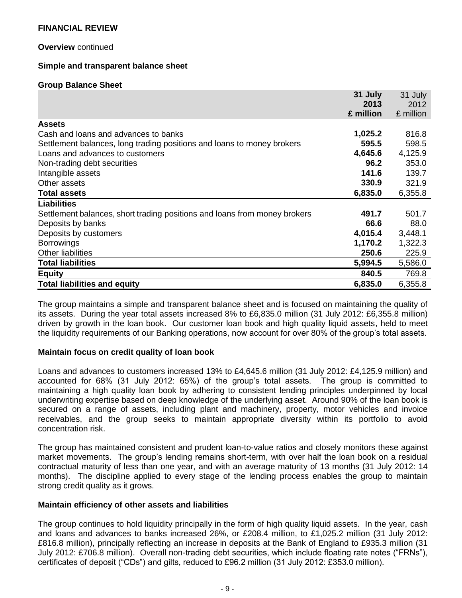#### **Overview** continued

#### **Simple and transparent balance sheet**

#### **Group Balance Sheet**

|                                                                           | 31 July   | 31 July   |
|---------------------------------------------------------------------------|-----------|-----------|
|                                                                           | 2013      | 2012      |
|                                                                           | £ million | £ million |
| <b>Assets</b>                                                             |           |           |
| Cash and loans and advances to banks                                      | 1,025.2   | 816.8     |
| Settlement balances, long trading positions and loans to money brokers    | 595.5     | 598.5     |
| Loans and advances to customers                                           | 4,645.6   | 4,125.9   |
| Non-trading debt securities                                               | 96.2      | 353.0     |
| Intangible assets                                                         | 141.6     | 139.7     |
| Other assets                                                              | 330.9     | 321.9     |
| <b>Total assets</b>                                                       | 6,835.0   | 6,355.8   |
| <b>Liabilities</b>                                                        |           |           |
| Settlement balances, short trading positions and loans from money brokers | 491.7     | 501.7     |
| Deposits by banks                                                         | 66.6      | 88.0      |
| Deposits by customers                                                     | 4,015.4   | 3,448.1   |
| <b>Borrowings</b>                                                         | 1,170.2   | 1,322.3   |
| <b>Other liabilities</b>                                                  | 250.6     | 225.9     |
| <b>Total liabilities</b>                                                  | 5,994.5   | 5,586.0   |
| <b>Equity</b>                                                             | 840.5     | 769.8     |
| <b>Total liabilities and equity</b>                                       | 6,835.0   | 6,355.8   |

The group maintains a simple and transparent balance sheet and is focused on maintaining the quality of its assets. During the year total assets increased 8% to £6,835.0 million (31 July 2012: £6,355.8 million) driven by growth in the loan book. Our customer loan book and high quality liquid assets, held to meet the liquidity requirements of our Banking operations, now account for over 80% of the group's total assets.

#### **Maintain focus on credit quality of loan book**

Loans and advances to customers increased 13% to £4,645.6 million (31 July 2012: £4,125.9 million) and accounted for 68% (31 July 2012: 65%) of the group's total assets. The group is committed to maintaining a high quality loan book by adhering to consistent lending principles underpinned by local underwriting expertise based on deep knowledge of the underlying asset. Around 90% of the loan book is secured on a range of assets, including plant and machinery, property, motor vehicles and invoice receivables, and the group seeks to maintain appropriate diversity within its portfolio to avoid concentration risk.

The group has maintained consistent and prudent loan-to-value ratios and closely monitors these against market movements. The group's lending remains short-term, with over half the loan book on a residual contractual maturity of less than one year, and with an average maturity of 13 months (31 July 2012: 14 months). The discipline applied to every stage of the lending process enables the group to maintain strong credit quality as it grows.

#### **Maintain efficiency of other assets and liabilities**

The group continues to hold liquidity principally in the form of high quality liquid assets. In the year, cash and loans and advances to banks increased 26%, or £208.4 million, to £1,025.2 million (31 July 2012: £816.8 million), principally reflecting an increase in deposits at the Bank of England to £935.3 million (31 July 2012: £706.8 million). Overall non-trading debt securities, which include floating rate notes ("FRNs"), certificates of deposit ("CDs") and gilts, reduced to £96.2 million (31 July 2012: £353.0 million).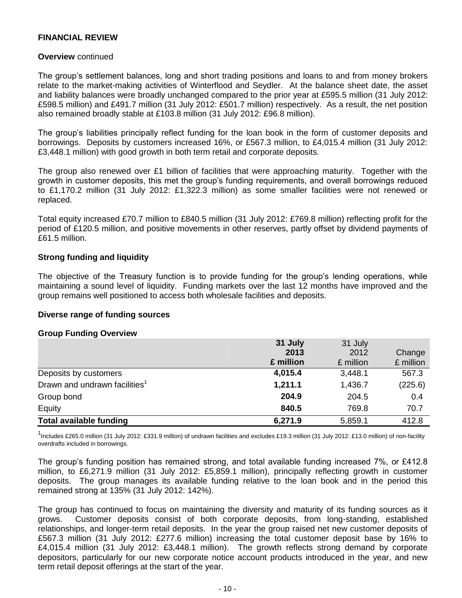#### **Overview** continued

The group's settlement balances, long and short trading positions and loans to and from money brokers relate to the market-making activities of Winterflood and Seydler. At the balance sheet date, the asset and liability balances were broadly unchanged compared to the prior year at £595.5 million (31 July 2012: £598.5 million) and £491.7 million (31 July 2012: £501.7 million) respectively. As a result, the net position also remained broadly stable at £103.8 million (31 July 2012: £96.8 million).

The group's liabilities principally reflect funding for the loan book in the form of customer deposits and borrowings. Deposits by customers increased 16%, or £567.3 million, to £4,015.4 million (31 July 2012: £3,448.1 million) with good growth in both term retail and corporate deposits.

The group also renewed over £1 billion of facilities that were approaching maturity. Together with the growth in customer deposits, this met the group's funding requirements, and overall borrowings reduced to £1,170.2 million (31 July 2012: £1,322.3 million) as some smaller facilities were not renewed or replaced.

Total equity increased £70.7 million to £840.5 million (31 July 2012: £769.8 million) reflecting profit for the period of £120.5 million, and positive movements in other reserves, partly offset by dividend payments of £61.5 million.

#### **Strong funding and liquidity**

The objective of the Treasury function is to provide funding for the group's lending operations, while maintaining a sound level of liquidity. Funding markets over the last 12 months have improved and the group remains well positioned to access both wholesale facilities and deposits.

#### **Diverse range of funding sources**

#### **Group Funding Overview**

|                                           | 31 July   | 31 July   |           |
|-------------------------------------------|-----------|-----------|-----------|
|                                           | 2013      | 2012      | Change    |
|                                           | £ million | £ million | £ million |
| Deposits by customers                     | 4,015.4   | 3,448.1   | 567.3     |
| Drawn and undrawn facilities <sup>1</sup> | 1,211.1   | 1,436.7   | (225.6)   |
| Group bond                                | 204.9     | 204.5     | 0.4       |
| Equity                                    | 840.5     | 769.8     | 70.7      |
| <b>Total available funding</b>            | 6,271.9   | 5,859.1   | 412.8     |

<sup>1</sup>Includes £265.0 million (31 July 2012: £331.9 million) of undrawn facilities and excludes £19.3 million (31 July 2012: £13.0 million) of non-facility overdrafts included in borrowings.

The group's funding position has remained strong, and total available funding increased 7%, or £412.8 million, to £6,271.9 million (31 July 2012: £5,859.1 million), principally reflecting growth in customer deposits. The group manages its available funding relative to the loan book and in the period this remained strong at 135% (31 July 2012: 142%).

The group has continued to focus on maintaining the diversity and maturity of its funding sources as it grows. Customer deposits consist of both corporate deposits, from long-standing, established relationships, and longer-term retail deposits. In the year the group raised net new customer deposits of £567.3 million (31 July 2012: £277.6 million) increasing the total customer deposit base by 16% to £4,015.4 million (31 July 2012: £3,448.1 million). The growth reflects strong demand by corporate depositors, particularly for our new corporate notice account products introduced in the year, and new term retail deposit offerings at the start of the year.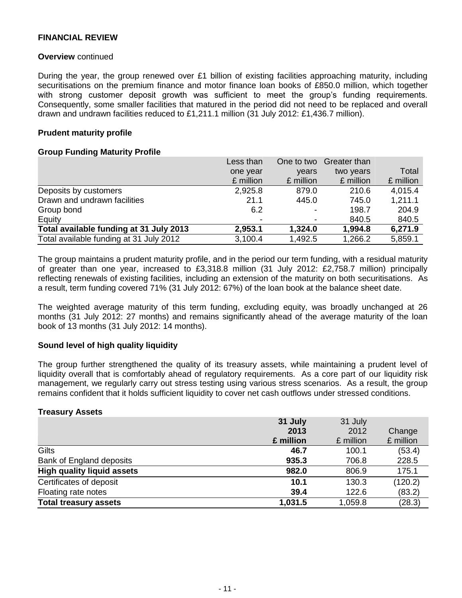#### **Overview** continued

During the year, the group renewed over £1 billion of existing facilities approaching maturity, including securitisations on the premium finance and motor finance loan books of £850.0 million, which together with strong customer deposit growth was sufficient to meet the group's funding requirements. Consequently, some smaller facilities that matured in the period did not need to be replaced and overall drawn and undrawn facilities reduced to £1,211.1 million (31 July 2012: £1,436.7 million).

### **Prudent maturity profile**

#### **Group Funding Maturity Profile**

|                                         | Less than | One to two | <b>Greater than</b> |           |
|-----------------------------------------|-----------|------------|---------------------|-----------|
|                                         | one year  | vears      | two years           | Total     |
|                                         | £ million | £ million  | £ million           | £ million |
| Deposits by customers                   | 2,925.8   | 879.0      | 210.6               | 4,015.4   |
| Drawn and undrawn facilities            | 21.1      | 445.0      | 745.0               | 1,211.1   |
| Group bond                              | 6.2       |            | 198.7               | 204.9     |
| Equity                                  |           |            | 840.5               | 840.5     |
| Total available funding at 31 July 2013 | 2,953.1   | 1,324.0    | 1,994.8             | 6,271.9   |
| Total available funding at 31 July 2012 | 3,100.4   | 1,492.5    | 1,266.2             | 5,859.1   |

The group maintains a prudent maturity profile, and in the period our term funding, with a residual maturity of greater than one year, increased to £3,318.8 million (31 July 2012: £2,758.7 million) principally reflecting renewals of existing facilities, including an extension of the maturity on both securitisations. As a result, term funding covered 71% (31 July 2012: 67%) of the loan book at the balance sheet date.

The weighted average maturity of this term funding, excluding equity, was broadly unchanged at 26 months (31 July 2012: 27 months) and remains significantly ahead of the average maturity of the loan book of 13 months (31 July 2012: 14 months).

#### **Sound level of high quality liquidity**

The group further strengthened the quality of its treasury assets, while maintaining a prudent level of liquidity overall that is comfortably ahead of regulatory requirements. As a core part of our liquidity risk management, we regularly carry out stress testing using various stress scenarios. As a result, the group remains confident that it holds sufficient liquidity to cover net cash outflows under stressed conditions.

#### **Treasury Assets**

|                                   | 31 July   | 31 July   |           |
|-----------------------------------|-----------|-----------|-----------|
|                                   | 2013      | 2012      | Change    |
|                                   | £ million | £ million | £ million |
| <b>Gilts</b>                      | 46.7      | 100.1     | (53.4)    |
| Bank of England deposits          | 935.3     | 706.8     | 228.5     |
| <b>High quality liquid assets</b> | 982.0     | 806.9     | 175.1     |
| Certificates of deposit           | 10.1      | 130.3     | (120.2)   |
| Floating rate notes               | 39.4      | 122.6     | (83.2)    |
| <b>Total treasury assets</b>      | 1,031.5   | 1,059.8   | (28.3)    |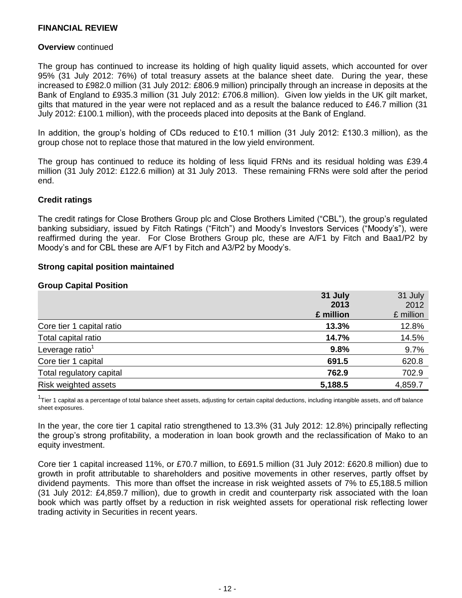#### **Overview** continued

The group has continued to increase its holding of high quality liquid assets, which accounted for over 95% (31 July 2012: 76%) of total treasury assets at the balance sheet date. During the year, these increased to £982.0 million (31 July 2012: £806.9 million) principally through an increase in deposits at the Bank of England to £935.3 million (31 July 2012: £706.8 million). Given low yields in the UK gilt market, gilts that matured in the year were not replaced and as a result the balance reduced to £46.7 million (31 July 2012: £100.1 million), with the proceeds placed into deposits at the Bank of England.

In addition, the group's holding of CDs reduced to £10.1 million (31 July 2012: £130.3 million), as the group chose not to replace those that matured in the low yield environment.

The group has continued to reduce its holding of less liquid FRNs and its residual holding was £39.4 million (31 July 2012: £122.6 million) at 31 July 2013. These remaining FRNs were sold after the period end.

#### **Credit ratings**

The credit ratings for Close Brothers Group plc and Close Brothers Limited ("CBL"), the group's regulated banking subsidiary, issued by Fitch Ratings ("Fitch") and Moody's Investors Services ("Moody's"), were reaffirmed during the year. For Close Brothers Group plc, these are A/F1 by Fitch and Baa1/P2 by Moody's and for CBL these are A/F1 by Fitch and A3/P2 by Moody's.

#### **Strong capital position maintained**

#### **Group Capital Position**

|                             | 31 July   | 31 July   |
|-----------------------------|-----------|-----------|
|                             | 2013      | 2012      |
|                             | £ million | £ million |
| Core tier 1 capital ratio   | 13.3%     | 12.8%     |
| Total capital ratio         | 14.7%     | 14.5%     |
| Leverage ratio <sup>1</sup> | 9.8%      | 9.7%      |
| Core tier 1 capital         | 691.5     | 620.8     |
| Total regulatory capital    | 762.9     | 702.9     |
| Risk weighted assets        | 5,188.5   | 4,859.7   |

<sup>1</sup>Tier 1 capital as a percentage of total balance sheet assets, adjusting for certain capital deductions, including intangible assets, and off balance sheet exposures.

In the year, the core tier 1 capital ratio strengthened to 13.3% (31 July 2012: 12.8%) principally reflecting the group's strong profitability, a moderation in loan book growth and the reclassification of Mako to an equity investment.

Core tier 1 capital increased 11%, or £70.7 million, to £691.5 million (31 July 2012: £620.8 million) due to growth in profit attributable to shareholders and positive movements in other reserves, partly offset by dividend payments. This more than offset the increase in risk weighted assets of 7% to £5,188.5 million (31 July 2012: £4,859.7 million), due to growth in credit and counterparty risk associated with the loan book which was partly offset by a reduction in risk weighted assets for operational risk reflecting lower trading activity in Securities in recent years.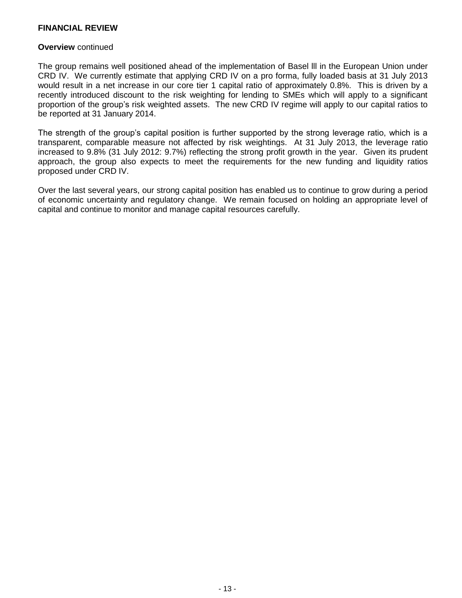#### **Overview** continued

The group remains well positioned ahead of the implementation of Basel lll in the European Union under CRD IV. We currently estimate that applying CRD IV on a pro forma, fully loaded basis at 31 July 2013 would result in a net increase in our core tier 1 capital ratio of approximately 0.8%. This is driven by a recently introduced discount to the risk weighting for lending to SMEs which will apply to a significant proportion of the group's risk weighted assets. The new CRD IV regime will apply to our capital ratios to be reported at 31 January 2014.

The strength of the group's capital position is further supported by the strong leverage ratio, which is a transparent, comparable measure not affected by risk weightings. At 31 July 2013, the leverage ratio increased to 9.8% (31 July 2012: 9.7%) reflecting the strong profit growth in the year. Given its prudent approach, the group also expects to meet the requirements for the new funding and liquidity ratios proposed under CRD IV.

Over the last several years, our strong capital position has enabled us to continue to grow during a period of economic uncertainty and regulatory change. We remain focused on holding an appropriate level of capital and continue to monitor and manage capital resources carefully.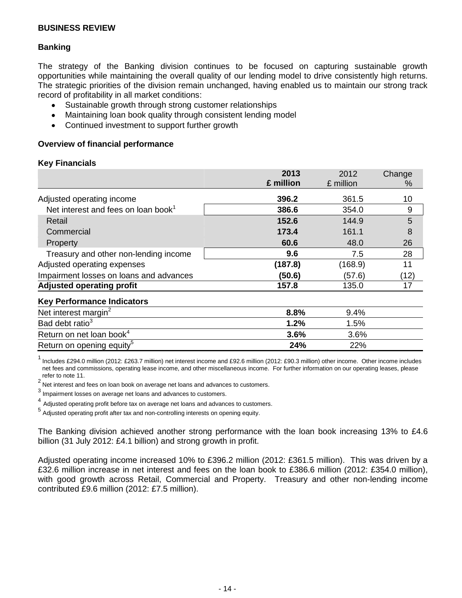## **Banking**

The strategy of the Banking division continues to be focused on capturing sustainable growth opportunities while maintaining the overall quality of our lending model to drive consistently high returns. The strategic priorities of the division remain unchanged, having enabled us to maintain our strong track record of profitability in all market conditions:

- Sustainable growth through strong customer relationships
- Maintaining loan book quality through consistent lending model  $\bullet$
- Continued investment to support further growth  $\bullet$

#### **Overview of financial performance**

#### **Key Financials**

|                                                 | 2013      | 2012      | Change |
|-------------------------------------------------|-----------|-----------|--------|
|                                                 | £ million | £ million | $\%$   |
| Adjusted operating income                       | 396.2     | 361.5     | 10     |
| Net interest and fees on loan book <sup>1</sup> | 386.6     | 354.0     | 9      |
| Retail                                          | 152.6     | 144.9     | 5      |
| Commercial                                      | 173.4     | 161.1     | 8      |
| Property                                        | 60.6      | 48.0      | 26     |
| Treasury and other non-lending income           | 9.6       | 7.5       | 28     |
| Adjusted operating expenses                     | (187.8)   | (168.9)   | 11     |
| Impairment losses on loans and advances         | (50.6)    | (57.6)    | (12)   |
| <b>Adjusted operating profit</b>                | 157.8     | 135.0     | 17     |
| <b>Key Performance Indicators</b>               |           |           |        |
| Net interest margin <sup>2</sup>                | $8.8\%$   | $9.4\%$   |        |

| <b>TO THE THE TELLO IN THE TELLO IS</b> |         |         |
|-----------------------------------------|---------|---------|
| Net interest margin <sup>2</sup>        | $8.8\%$ | $9.4\%$ |
| Bad debt ratio <sup>3</sup>             | 1.2%    | $1.5\%$ |
| Return on net loan book <sup>4</sup>    | $3.6\%$ | $3.6\%$ |
| Return on opening equity <sup>5</sup>   | 24%     | 22%     |

<sup>1</sup>Includes £294.0 million (2012: £263.7 million) net interest income and £92.6 million (2012: £90.3 million) other income. Other income includes net fees and commissions, operating lease income, and other miscellaneous income. For further information on our operating leases, please refer to note 11.

2Net interest and fees on loan book on average net loans and advances to customers.

 $^3$  Impairment losses on average net loans and advances to customers.

4 Adjusted operating profit before tax on average net loans and advances to customers.

5 Adjusted operating profit after tax and non-controlling interests on opening equity.

The Banking division achieved another strong performance with the loan book increasing 13% to £4.6 billion (31 July 2012: £4.1 billion) and strong growth in profit.

Adjusted operating income increased 10% to £396.2 million (2012: £361.5 million). This was driven by a £32.6 million increase in net interest and fees on the loan book to £386.6 million (2012: £354.0 million), with good growth across Retail, Commercial and Property. Treasury and other non-lending income contributed £9.6 million (2012: £7.5 million).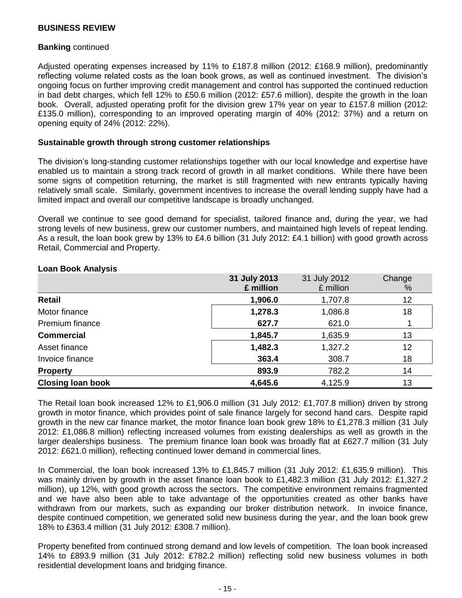#### **Banking** continued

Adjusted operating expenses increased by 11% to £187.8 million (2012: £168.9 million), predominantly reflecting volume related costs as the loan book grows, as well as continued investment. The division's ongoing focus on further improving credit management and control has supported the continued reduction in bad debt charges, which fell 12% to £50.6 million (2012: £57.6 million), despite the growth in the loan book. Overall, adjusted operating profit for the division grew 17% year on year to £157.8 million (2012: £135.0 million), corresponding to an improved operating margin of 40% (2012: 37%) and a return on opening equity of 24% (2012: 22%).

#### **Sustainable growth through strong customer relationships**

The division's long-standing customer relationships together with our local knowledge and expertise have enabled us to maintain a strong track record of growth in all market conditions. While there have been some signs of competition returning, the market is still fragmented with new entrants typically having relatively small scale. Similarly, government incentives to increase the overall lending supply have had a limited impact and overall our competitive landscape is broadly unchanged.

Overall we continue to see good demand for specialist, tailored finance and, during the year, we had strong levels of new business, grew our customer numbers, and maintained high levels of repeat lending. As a result, the loan book grew by 13% to £4.6 billion (31 July 2012: £4.1 billion) with good growth across Retail, Commercial and Property.

|                          | 31 July 2013<br>£ million | 31 July 2012<br>£ million | Change<br>% |
|--------------------------|---------------------------|---------------------------|-------------|
| Retail                   | 1,906.0                   | 1,707.8                   | 12          |
| Motor finance            | 1,278.3                   | 1,086.8                   | 18          |
| <b>Premium finance</b>   | 627.7                     | 621.0                     |             |
| <b>Commercial</b>        | 1,845.7                   | 1,635.9                   | 13          |
| Asset finance            | 1,482.3                   | 1,327.2                   | 12          |
| Invoice finance          | 363.4                     | 308.7                     | 18          |
| <b>Property</b>          | 893.9                     | 782.2                     | 14          |
| <b>Closing loan book</b> | 4,645.6                   | 4,125.9                   | 13          |

#### **Loan Book Analysis**

The Retail loan book increased 12% to £1,906.0 million (31 July 2012: £1,707.8 million) driven by strong growth in motor finance, which provides point of sale finance largely for second hand cars. Despite rapid growth in the new car finance market, the motor finance loan book grew 18% to £1,278.3 million (31 July 2012: £1,086.8 million) reflecting increased volumes from existing dealerships as well as growth in the larger dealerships business. The premium finance loan book was broadly flat at £627.7 million (31 July 2012: £621.0 million), reflecting continued lower demand in commercial lines.

In Commercial, the loan book increased 13% to £1,845.7 million (31 July 2012: £1,635.9 million). This was mainly driven by growth in the asset finance loan book to £1,482.3 million (31 July 2012: £1,327.2 million), up 12%, with good growth across the sectors. The competitive environment remains fragmented and we have also been able to take advantage of the opportunities created as other banks have withdrawn from our markets, such as expanding our broker distribution network. In invoice finance, despite continued competition, we generated solid new business during the year, and the loan book grew 18% to £363.4 million (31 July 2012: £308.7 million).

Property benefited from continued strong demand and low levels of competition. The loan book increased 14% to £893.9 million (31 July 2012: £782.2 million) reflecting solid new business volumes in both residential development loans and bridging finance.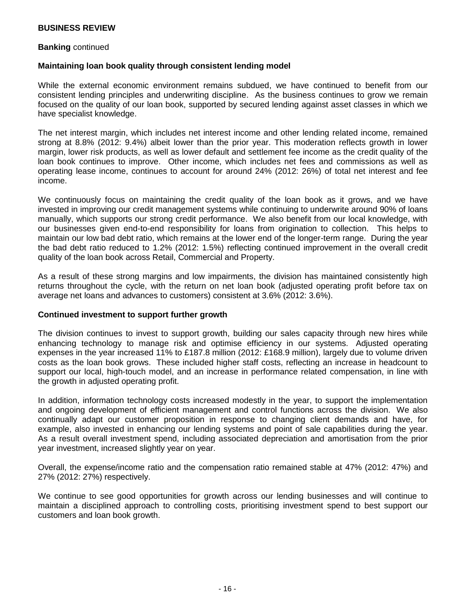#### **Banking** continued

#### **Maintaining loan book quality through consistent lending model**

While the external economic environment remains subdued, we have continued to benefit from our consistent lending principles and underwriting discipline. As the business continues to grow we remain focused on the quality of our loan book, supported by secured lending against asset classes in which we have specialist knowledge.

The net interest margin, which includes net interest income and other lending related income, remained strong at 8.8% (2012: 9.4%) albeit lower than the prior year. This moderation reflects growth in lower margin, lower risk products, as well as lower default and settlement fee income as the credit quality of the loan book continues to improve. Other income, which includes net fees and commissions as well as operating lease income, continues to account for around 24% (2012: 26%) of total net interest and fee income.

We continuously focus on maintaining the credit quality of the loan book as it grows, and we have invested in improving our credit management systems while continuing to underwrite around 90% of loans manually, which supports our strong credit performance. We also benefit from our local knowledge, with our businesses given end-to-end responsibility for loans from origination to collection. This helps to maintain our low bad debt ratio, which remains at the lower end of the longer-term range. During the year the bad debt ratio reduced to 1.2% (2012: 1.5%) reflecting continued improvement in the overall credit quality of the loan book across Retail, Commercial and Property.

As a result of these strong margins and low impairments, the division has maintained consistently high returns throughout the cycle, with the return on net loan book (adjusted operating profit before tax on average net loans and advances to customers) consistent at 3.6% (2012: 3.6%).

#### **Continued investment to support further growth**

The division continues to invest to support growth, building our sales capacity through new hires while enhancing technology to manage risk and optimise efficiency in our systems. Adjusted operating expenses in the year increased 11% to £187.8 million (2012: £168.9 million), largely due to volume driven costs as the loan book grows. These included higher staff costs, reflecting an increase in headcount to support our local, high-touch model, and an increase in performance related compensation, in line with the growth in adjusted operating profit.

In addition, information technology costs increased modestly in the year, to support the implementation and ongoing development of efficient management and control functions across the division. We also continually adapt our customer proposition in response to changing client demands and have, for example, also invested in enhancing our lending systems and point of sale capabilities during the year. As a result overall investment spend, including associated depreciation and amortisation from the prior year investment, increased slightly year on year.

Overall, the expense/income ratio and the compensation ratio remained stable at 47% (2012: 47%) and 27% (2012: 27%) respectively.

We continue to see good opportunities for growth across our lending businesses and will continue to maintain a disciplined approach to controlling costs, prioritising investment spend to best support our customers and loan book growth.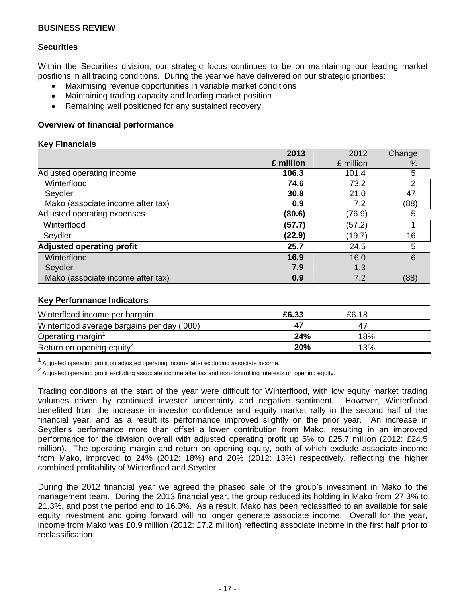## **Securities**

Within the Securities division, our strategic focus continues to be on maintaining our leading market positions in all trading conditions. During the year we have delivered on our strategic priorities:

- Maximising revenue opportunities in variable market conditions
- Maintaining trading capacity and leading market position  $\bullet$
- Remaining well positioned for any sustained recovery  $\bullet$

## **Overview of financial performance**

### **Key Financials**

|                                   | 2013      | 2012      | Change |
|-----------------------------------|-----------|-----------|--------|
|                                   | £ million | £ million | %      |
| Adjusted operating income         | 106.3     | 101.4     | 5      |
| Winterflood                       | 74.6      | 73.2      | 2      |
| Seydler                           | 30.8      | 21.0      | 47     |
| Mako (associate income after tax) | 0.9       | 7.2       | (88)   |
| Adjusted operating expenses       | (80.6)    | (76.9)    | 5      |
| Winterflood                       | (57.7)    | (57.2)    |        |
| Seydler                           | (22.9)    | (19.7)    | 16     |
| <b>Adjusted operating profit</b>  | 25.7      | 24.5      | 5      |
| Winterflood                       | 16.9      | 16.0      | 6      |
| Seydler                           | 7.9       | 1.3       |        |
| Mako (associate income after tax) | 0.9       | 7.2       | (88)   |

#### **Key Performance Indicators**

| Winterflood income per bargain              | £6.33      | £6.18 |  |
|---------------------------------------------|------------|-------|--|
| Winterflood average bargains per day ('000) |            |       |  |
| Operating margin <sup>1</sup>               | 24%        | 18%   |  |
| Return on opening equity <sup>2</sup>       | <b>20%</b> | 13%   |  |

 $1$  Adjusted operating profit on adjusted operating income after excluding associate income.

 $<sup>2</sup>$  Adjusted operating profit excluding associate income after tax and non-controlling interests on opening equity.</sup>

Trading conditions at the start of the year were difficult for Winterflood, with low equity market trading volumes driven by continued investor uncertainty and negative sentiment. However, Winterflood benefited from the increase in investor confidence and equity market rally in the second half of the financial year, and as a result its performance improved slightly on the prior year. An increase in Seydler's performance more than offset a lower contribution from Mako, resulting in an improved performance for the division overall with adjusted operating profit up 5% to £25.7 million (2012: £24.5 million). The operating margin and return on opening equity, both of which exclude associate income from Mako, improved to 24% (2012: 18%) and 20% (2012: 13%) respectively, reflecting the higher combined profitability of Winterflood and Seydler.

During the 2012 financial year we agreed the phased sale of the group's investment in Mako to the management team. During the 2013 financial year, the group reduced its holding in Mako from 27.3% to 21.3%, and post the period end to 16.3%. As a result, Mako has been reclassified to an available for sale equity investment and going forward will no longer generate associate income. Overall for the year, income from Mako was £0.9 million (2012: £7.2 million) reflecting associate income in the first half prior to reclassification.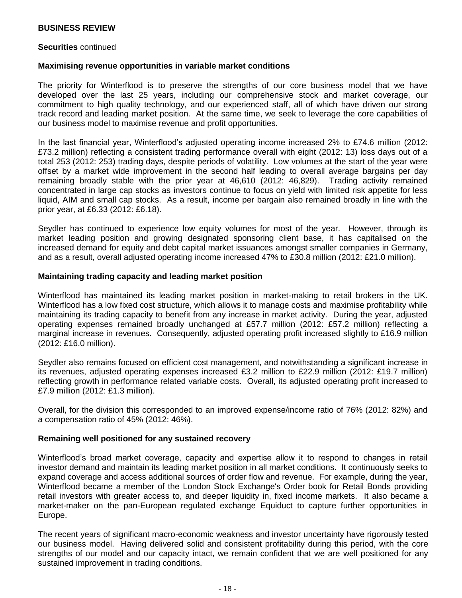#### **Securities** continued

#### **Maximising revenue opportunities in variable market conditions**

The priority for Winterflood is to preserve the strengths of our core business model that we have developed over the last 25 years, including our comprehensive stock and market coverage, our commitment to high quality technology, and our experienced staff, all of which have driven our strong track record and leading market position. At the same time, we seek to leverage the core capabilities of our business model to maximise revenue and profit opportunities.

In the last financial year, Winterflood's adjusted operating income increased 2% to £74.6 million (2012: £73.2 million) reflecting a consistent trading performance overall with eight (2012: 13) loss days out of a total 253 (2012: 253) trading days, despite periods of volatility. Low volumes at the start of the year were offset by a market wide improvement in the second half leading to overall average bargains per day remaining broadly stable with the prior year at 46,610 (2012: 46,829). Trading activity remained concentrated in large cap stocks as investors continue to focus on yield with limited risk appetite for less liquid, AIM and small cap stocks. As a result, income per bargain also remained broadly in line with the prior year, at £6.33 (2012: £6.18).

Seydler has continued to experience low equity volumes for most of the year. However, through its market leading position and growing designated sponsoring client base, it has capitalised on the increased demand for equity and debt capital market issuances amongst smaller companies in Germany, and as a result, overall adjusted operating income increased 47% to £30.8 million (2012: £21.0 million).

#### **Maintaining trading capacity and leading market position**

Winterflood has maintained its leading market position in market-making to retail brokers in the UK. Winterflood has a low fixed cost structure, which allows it to manage costs and maximise profitability while maintaining its trading capacity to benefit from any increase in market activity. During the year, adjusted operating expenses remained broadly unchanged at £57.7 million (2012: £57.2 million) reflecting a marginal increase in revenues. Consequently, adjusted operating profit increased slightly to £16.9 million (2012: £16.0 million).

Seydler also remains focused on efficient cost management, and notwithstanding a significant increase in its revenues, adjusted operating expenses increased £3.2 million to £22.9 million (2012: £19.7 million) reflecting growth in performance related variable costs. Overall, its adjusted operating profit increased to £7.9 million (2012: £1.3 million).

Overall, for the division this corresponded to an improved expense/income ratio of 76% (2012: 82%) and a compensation ratio of 45% (2012: 46%).

#### **Remaining well positioned for any sustained recovery**

Winterflood's broad market coverage, capacity and expertise allow it to respond to changes in retail investor demand and maintain its leading market position in all market conditions. It continuously seeks to expand coverage and access additional sources of order flow and revenue. For example, during the year, Winterflood became a member of the London Stock Exchange's Order book for Retail Bonds providing retail investors with greater access to, and deeper liquidity in, fixed income markets. It also became a market-maker on the pan-European regulated exchange Equiduct to capture further opportunities in Europe.

The recent years of significant macro-economic weakness and investor uncertainty have rigorously tested our business model. Having delivered solid and consistent profitability during this period, with the core strengths of our model and our capacity intact, we remain confident that we are well positioned for any sustained improvement in trading conditions.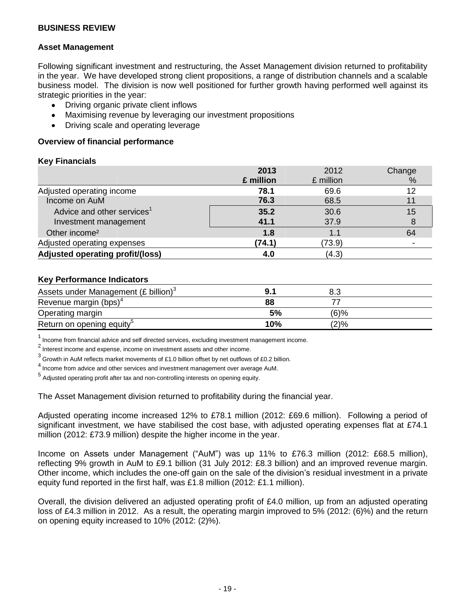### **Asset Management**

Following significant investment and restructuring, the Asset Management division returned to profitability in the year. We have developed strong client propositions, a range of distribution channels and a scalable business model. The division is now well positioned for further growth having performed well against its strategic priorities in the year:

- Driving organic private client inflows  $\bullet$
- Maximising revenue by leveraging our investment propositions  $\bullet$
- Driving scale and operating leverage  $\bullet$

### **Overview of financial performance**

#### **Key Financials**

|                                        | 2013      | 2012      | Change |
|----------------------------------------|-----------|-----------|--------|
|                                        | £ million | £ million | %      |
| Adjusted operating income              | 78.1      | 69.6      | 12     |
| Income on AuM                          | 76.3      | 68.5      |        |
| Advice and other services <sup>1</sup> | 35.2      | 30.6      | 15     |
| Investment management                  | 41.1      | 37.9      |        |
| Other income <sup>2</sup>              | 1.8       | 1.1       | 64     |
| Adjusted operating expenses            | (74.1)    | (73.9)    |        |
| Adjusted operating profit/(loss)       | 4.0       | (4.3)     |        |

#### **Key Performance Indicators**

| Assets under Management (£ billion) <sup>3</sup> |     |         |  |
|--------------------------------------------------|-----|---------|--|
| Revenue margin (bps) <sup>4</sup>                | 88  |         |  |
| Operating margin                                 | 5%  | $(6)$ % |  |
| Return on opening equity <sup>5</sup>            | 10% | (2)%    |  |

<sup>1</sup>Income from financial advice and self directed services, excluding investment management income.

 $2$  Interest income and expense, income on investment assets and other income.

 $^3$  Growth in AuM reflects market movements of £1.0 billion offset by net outflows of £0.2 billion.

 $<sup>4</sup>$  Income from advice and other services and investment management over average AuM.</sup>

5 Adjusted operating profit after tax and non-controlling interests on opening equity.

The Asset Management division returned to profitability during the financial year.

Adjusted operating income increased 12% to £78.1 million (2012: £69.6 million). Following a period of significant investment, we have stabilised the cost base, with adjusted operating expenses flat at £74.1 million (2012: £73.9 million) despite the higher income in the year.

Income on Assets under Management ("AuM") was up 11% to £76.3 million (2012: £68.5 million), reflecting 9% growth in AuM to £9.1 billion (31 July 2012: £8.3 billion) and an improved revenue margin. Other income, which includes the one-off gain on the sale of the division's residual investment in a private equity fund reported in the first half, was £1.8 million (2012: £1.1 million).

Overall, the division delivered an adjusted operating profit of £4.0 million, up from an adjusted operating loss of £4.3 million in 2012. As a result, the operating margin improved to 5% (2012: (6)%) and the return on opening equity increased to 10% (2012: (2)%).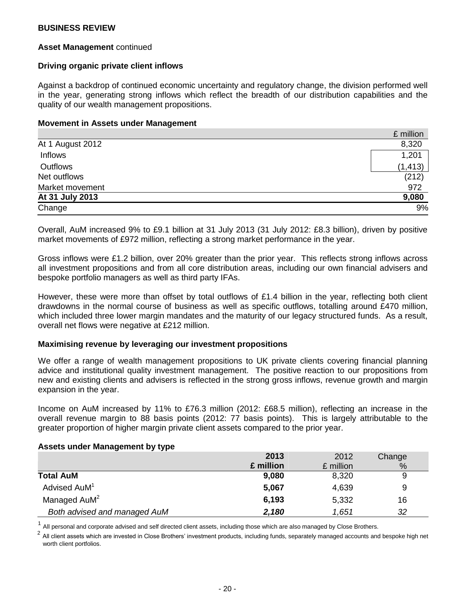#### **Asset Management** continued

#### **Driving organic private client inflows**

Against a backdrop of continued economic uncertainty and regulatory change, the division performed well in the year, generating strong inflows which reflect the breadth of our distribution capabilities and the quality of our wealth management propositions.

#### **Movement in Assets under Management**

|                  | £ million |
|------------------|-----------|
| At 1 August 2012 | 8,320     |
| Inflows          | 1,201     |
| Outflows         | (1, 413)  |
| Net outflows     | (212)     |
| Market movement  | 972       |
| At 31 July 2013  | 9,080     |
| Change           | 9%        |

Overall, AuM increased 9% to £9.1 billion at 31 July 2013 (31 July 2012: £8.3 billion), driven by positive market movements of £972 million, reflecting a strong market performance in the year.

Gross inflows were £1.2 billion, over 20% greater than the prior year. This reflects strong inflows across all investment propositions and from all core distribution areas, including our own financial advisers and bespoke portfolio managers as well as third party IFAs.

However, these were more than offset by total outflows of £1.4 billion in the year, reflecting both client drawdowns in the normal course of business as well as specific outflows, totalling around £470 million, which included three lower margin mandates and the maturity of our legacy structured funds. As a result, overall net flows were negative at £212 million.

#### **Maximising revenue by leveraging our investment propositions**

We offer a range of wealth management propositions to UK private clients covering financial planning advice and institutional quality investment management. The positive reaction to our propositions from new and existing clients and advisers is reflected in the strong gross inflows, revenue growth and margin expansion in the year.

Income on AuM increased by 11% to £76.3 million (2012: £68.5 million), reflecting an increase in the overall revenue margin to 88 basis points (2012: 77 basis points). This is largely attributable to the greater proportion of higher margin private client assets compared to the prior year.

#### **Assets under Management by type**

|                              | 2013      | 2012      | Change |
|------------------------------|-----------|-----------|--------|
|                              | £ million | £ million | %      |
| <b>Total AuM</b>             | 9,080     | 8,320     | 9      |
| Advised AuM <sup>1</sup>     | 5,067     | 4,639     | 9      |
| Managed AuM <sup>2</sup>     | 6,193     | 5,332     | 16     |
| Both advised and managed AuM | 2,180     | 1,651     | 32     |

1 All personal and corporate advised and self directed client assets, including those which are also managed by Close Brothers.

2 All client assets which are invested in Close Brothers' investment products, including funds, separately managed accounts and bespoke high net worth client portfolios.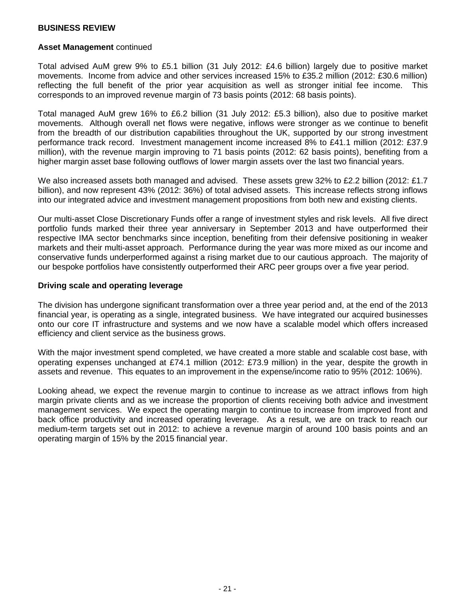#### **Asset Management** continued

Total advised AuM grew 9% to £5.1 billion (31 July 2012: £4.6 billion) largely due to positive market movements. Income from advice and other services increased 15% to £35.2 million (2012: £30.6 million) reflecting the full benefit of the prior year acquisition as well as stronger initial fee income. This corresponds to an improved revenue margin of 73 basis points (2012: 68 basis points).

Total managed AuM grew 16% to £6.2 billion (31 July 2012: £5.3 billion), also due to positive market movements. Although overall net flows were negative, inflows were stronger as we continue to benefit from the breadth of our distribution capabilities throughout the UK, supported by our strong investment performance track record. Investment management income increased 8% to £41.1 million (2012: £37.9 million), with the revenue margin improving to 71 basis points (2012: 62 basis points), benefiting from a higher margin asset base following outflows of lower margin assets over the last two financial years.

We also increased assets both managed and advised. These assets grew 32% to £2.2 billion (2012: £1.7 billion), and now represent 43% (2012: 36%) of total advised assets. This increase reflects strong inflows into our integrated advice and investment management propositions from both new and existing clients.

Our multi-asset Close Discretionary Funds offer a range of investment styles and risk levels. All five direct portfolio funds marked their three year anniversary in September 2013 and have outperformed their respective IMA sector benchmarks since inception, benefiting from their defensive positioning in weaker markets and their multi-asset approach. Performance during the year was more mixed as our income and conservative funds underperformed against a rising market due to our cautious approach. The majority of our bespoke portfolios have consistently outperformed their ARC peer groups over a five year period.

#### **Driving scale and operating leverage**

The division has undergone significant transformation over a three year period and, at the end of the 2013 financial year, is operating as a single, integrated business. We have integrated our acquired businesses onto our core IT infrastructure and systems and we now have a scalable model which offers increased efficiency and client service as the business grows.

With the major investment spend completed, we have created a more stable and scalable cost base, with operating expenses unchanged at £74.1 million (2012: £73.9 million) in the year, despite the growth in assets and revenue. This equates to an improvement in the expense/income ratio to 95% (2012: 106%).

Looking ahead, we expect the revenue margin to continue to increase as we attract inflows from high margin private clients and as we increase the proportion of clients receiving both advice and investment management services. We expect the operating margin to continue to increase from improved front and back office productivity and increased operating leverage. As a result, we are on track to reach our medium-term targets set out in 2012: to achieve a revenue margin of around 100 basis points and an operating margin of 15% by the 2015 financial year.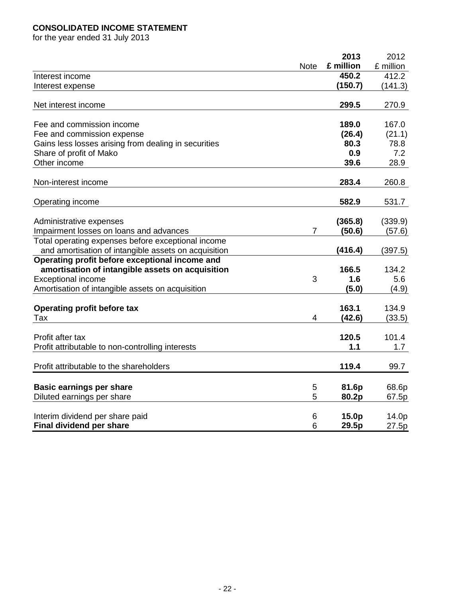## **CONSOLIDATED INCOME STATEMENT**

for the year ended 31 July 2013

|                                                      |             | 2013         | 2012      |
|------------------------------------------------------|-------------|--------------|-----------|
|                                                      | <b>Note</b> | £ million    | £ million |
| Interest income                                      |             | 450.2        | 412.2     |
| Interest expense                                     |             | (150.7)      | (141.3)   |
| Net interest income                                  |             | 299.5        | 270.9     |
| Fee and commission income                            |             | 189.0        | 167.0     |
| Fee and commission expense                           |             | (26.4)       | (21.1)    |
| Gains less losses arising from dealing in securities |             | 80.3         | 78.8      |
| Share of profit of Mako                              |             | 0.9          | 7.2       |
| Other income                                         |             | 39.6         | 28.9      |
| Non-interest income                                  |             | 283.4        | 260.8     |
| Operating income                                     |             | 582.9        | 531.7     |
|                                                      |             |              |           |
| Administrative expenses                              |             | (365.8)      | (339.9)   |
| Impairment losses on loans and advances              | 7           | (50.6)       | (57.6)    |
| Total operating expenses before exceptional income   |             |              |           |
| and amortisation of intangible assets on acquisition |             | (416.4)      | (397.5)   |
| Operating profit before exceptional income and       |             |              |           |
| amortisation of intangible assets on acquisition     |             | 166.5        | 134.2     |
| <b>Exceptional income</b>                            | 3           | 1.6          | 5.6       |
| Amortisation of intangible assets on acquisition     |             | (5.0)        | (4.9)     |
| Operating profit before tax                          |             | 163.1        | 134.9     |
| Tax                                                  | 4           | (42.6)       | (33.5)    |
|                                                      |             |              |           |
| Profit after tax                                     |             | 120.5<br>1.1 | 101.4     |
| Profit attributable to non-controlling interests     |             |              | 1.7       |
| Profit attributable to the shareholders              |             | 119.4        | 99.7      |
| <b>Basic earnings per share</b>                      | 5           | 81.6p        | 68.6p     |
| Diluted earnings per share                           | 5           | 80.2p        | 67.5p     |
|                                                      |             |              |           |
| Interim dividend per share paid                      | 6           | 15.0p        | 14.0p     |
| Final dividend per share                             | 6           | 29.5p        | 27.5p     |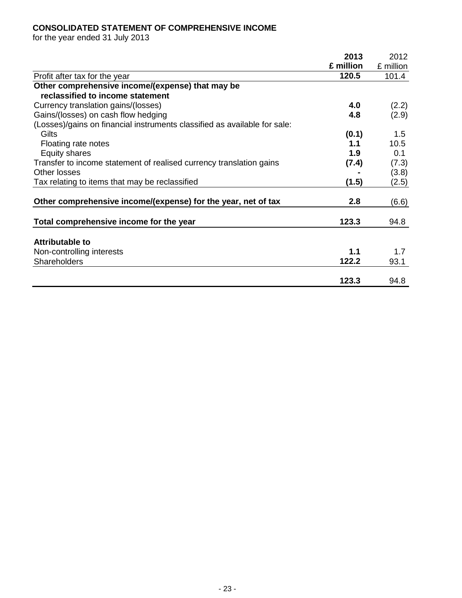## **CONSOLIDATED STATEMENT OF COMPREHENSIVE INCOME**

for the year ended 31 July 2013

|                                                                           | 2013      | 2012      |
|---------------------------------------------------------------------------|-----------|-----------|
|                                                                           | £ million | £ million |
| Profit after tax for the year                                             | 120.5     | 101.4     |
| Other comprehensive income/(expense) that may be                          |           |           |
| reclassified to income statement                                          |           |           |
| Currency translation gains/(losses)                                       | 4.0       | (2.2)     |
| Gains/(losses) on cash flow hedging                                       | 4.8       | (2.9)     |
| (Losses)/gains on financial instruments classified as available for sale: |           |           |
| Gilts                                                                     | (0.1)     | 1.5       |
| Floating rate notes                                                       | 1.1       | 10.5      |
| <b>Equity shares</b>                                                      | 1.9       | 0.1       |
| Transfer to income statement of realised currency translation gains       | (7.4)     | (7.3)     |
| Other losses                                                              |           | (3.8)     |
| Tax relating to items that may be reclassified                            | (1.5)     | (2.5)     |
|                                                                           |           |           |
| Other comprehensive income/(expense) for the year, net of tax             | 2.8       | (6.6)     |
|                                                                           |           |           |
| Total comprehensive income for the year                                   | 123.3     | 94.8      |
| <b>Attributable to</b>                                                    |           |           |
|                                                                           | 1.1       |           |
| Non-controlling interests                                                 | 122.2     | 1.7       |
| Shareholders                                                              |           | 93.1      |
|                                                                           | 123.3     | 94.8      |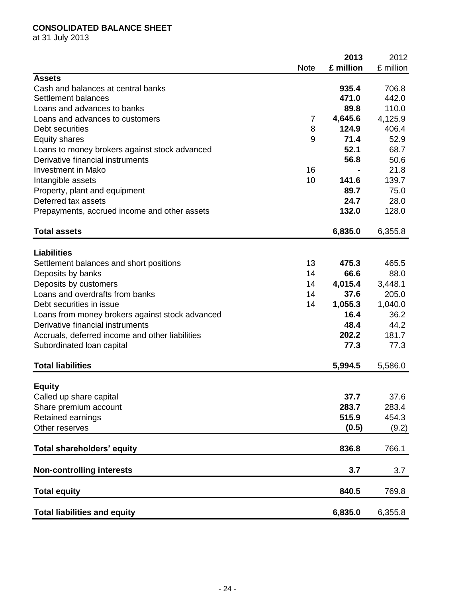## **CONSOLIDATED BALANCE SHEET**

at 31 July 2013

|                                                          |             | 2013            | 2012      |
|----------------------------------------------------------|-------------|-----------------|-----------|
|                                                          | <b>Note</b> | £ million       | £ million |
| <b>Assets</b>                                            |             |                 |           |
| Cash and balances at central banks                       |             | 935.4           | 706.8     |
| Settlement balances                                      |             | 471.0           | 442.0     |
| Loans and advances to banks                              |             | 89.8            | 110.0     |
| Loans and advances to customers                          | 7           | 4,645.6         | 4,125.9   |
| Debt securities                                          | 8           | 124.9           | 406.4     |
| <b>Equity shares</b>                                     | 9           | 71.4            | 52.9      |
| Loans to money brokers against stock advanced            |             | 52.1            | 68.7      |
| Derivative financial instruments                         |             | 56.8            | 50.6      |
| <b>Investment in Mako</b>                                | 16          |                 | 21.8      |
| Intangible assets                                        | 10          | 141.6           | 139.7     |
| Property, plant and equipment                            |             | 89.7            | 75.0      |
| Deferred tax assets                                      |             | 24.7            | 28.0      |
| Prepayments, accrued income and other assets             |             | 132.0           | 128.0     |
| <b>Total assets</b>                                      |             | 6,835.0         | 6,355.8   |
| <b>Liabilities</b>                                       |             |                 |           |
| Settlement balances and short positions                  | 13          | 475.3           | 465.5     |
| Deposits by banks                                        | 14          | 66.6            | 88.0      |
|                                                          | 14          | 4,015.4         | 3,448.1   |
| Deposits by customers<br>Loans and overdrafts from banks | 14          | 37.6            | 205.0     |
| Debt securities in issue                                 | 14          |                 |           |
|                                                          |             | 1,055.3<br>16.4 | 1,040.0   |
| Loans from money brokers against stock advanced          |             |                 | 36.2      |
| Derivative financial instruments                         |             | 48.4            | 44.2      |
| Accruals, deferred income and other liabilities          |             | 202.2           | 181.7     |
| Subordinated loan capital                                |             | 77.3            | 77.3      |
| <b>Total liabilities</b>                                 |             | 5,994.5         | 5,586.0   |
| <b>Equity</b>                                            |             |                 |           |
| Called up share capital                                  |             | 37.7            | 37.6      |
| Share premium account                                    |             | 283.7           | 283.4     |
| Retained earnings                                        |             | 515.9           | 454.3     |
| Other reserves                                           |             | (0.5)           | (9.2)     |
|                                                          |             |                 |           |
| Total shareholders' equity                               |             | 836.8           | 766.1     |
| <b>Non-controlling interests</b>                         |             | 3.7             | 3.7       |
|                                                          |             | 840.5           |           |
| <b>Total equity</b>                                      |             |                 | 769.8     |
| <b>Total liabilities and equity</b>                      |             | 6,835.0         | 6,355.8   |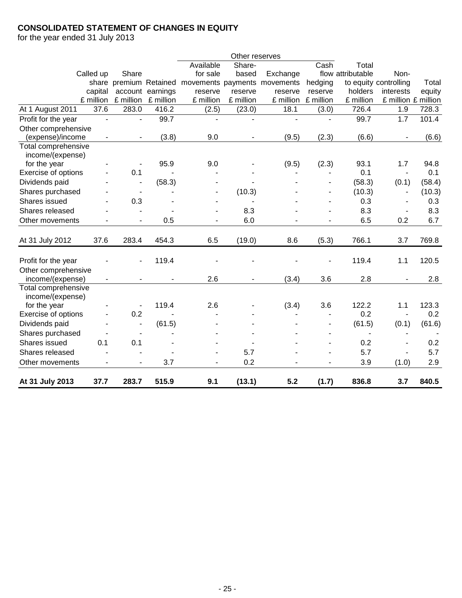## **CONSOLIDATED STATEMENT OF CHANGES IN EQUITY**

for the year ended 31 July 2013

|                     |                          |                          |           |                    | Other reserves           |           |           |                   |                          |        |
|---------------------|--------------------------|--------------------------|-----------|--------------------|--------------------------|-----------|-----------|-------------------|--------------------------|--------|
|                     |                          |                          |           | Available          | Share-                   |           | Cash      | Total             |                          |        |
|                     | Called up                | Share                    |           | for sale           | based                    | Exchange  |           | flow attributable | Non-                     |        |
|                     |                          | share premium Retained   |           | movements payments |                          | movements | hedging   |                   | to equity controlling    | Total  |
|                     | capital                  | account                  | earnings  | reserve            | reserve                  | reserve   | reserve   | holders           | interests                | equity |
|                     | £ million                | £ million                | £ million | £ million          | £ million                | £ million | £ million | £ million         | £ million £ million      |        |
| At 1 August 2011    | 37.6                     | 283.0                    | 416.2     | (2.5)              | (23.0)                   | 18.1      | (3.0)     | 726.4             | 1.9                      | 728.3  |
| Profit for the year | $\blacksquare$           | $\overline{\phantom{0}}$ | 99.7      | $\blacksquare$     | $\blacksquare$           | ÷,        | ÷.        | 99.7              | 1.7                      | 101.4  |
| Other comprehensive |                          |                          |           |                    |                          |           |           |                   |                          |        |
| (expense)/income    |                          |                          | (3.8)     | 9.0                |                          | (9.5)     | (2.3)     | (6.6)             |                          | (6.6)  |
| Total comprehensive |                          |                          |           |                    |                          |           |           |                   |                          |        |
| income/(expense)    |                          |                          |           |                    |                          |           |           |                   |                          |        |
| for the year        |                          |                          | 95.9      | 9.0                |                          | (9.5)     | (2.3)     | 93.1              | 1.7                      | 94.8   |
| Exercise of options |                          | 0.1                      | L,        |                    |                          |           |           | 0.1               | $\overline{\phantom{a}}$ | 0.1    |
| Dividends paid      |                          |                          | (58.3)    |                    |                          |           |           | (58.3)            | (0.1)                    | (58.4) |
| Shares purchased    |                          |                          |           |                    | (10.3)                   |           |           | (10.3)            | $\overline{\phantom{a}}$ | (10.3) |
| Shares issued       |                          | 0.3                      |           |                    |                          |           |           | 0.3               | $\overline{\phantom{a}}$ | 0.3    |
| Shares released     |                          |                          |           |                    | 8.3                      |           |           | 8.3               | $\overline{\phantom{a}}$ | 8.3    |
| Other movements     |                          | $\blacksquare$           | 0.5       | $\blacksquare$     | 6.0                      |           |           | 6.5               | 0.2                      | 6.7    |
|                     |                          |                          |           |                    |                          |           |           |                   |                          |        |
| At 31 July 2012     | 37.6                     | 283.4                    | 454.3     | 6.5                | (19.0)                   | 8.6       | (5.3)     | 766.1             | 3.7                      | 769.8  |
|                     |                          |                          |           |                    |                          |           |           |                   |                          |        |
| Profit for the year |                          |                          | 119.4     |                    |                          |           |           | 119.4             | 1.1                      | 120.5  |
| Other comprehensive |                          |                          |           |                    |                          |           |           |                   |                          |        |
| income/(expense)    | $\overline{\phantom{0}}$ |                          | ÷         | 2.6                | $\overline{\phantom{a}}$ | (3.4)     | 3.6       | 2.8               | ÷,                       | 2.8    |
| Total comprehensive |                          |                          |           |                    |                          |           |           |                   |                          |        |
| income/(expense)    |                          |                          |           |                    |                          |           |           |                   |                          |        |
| for the year        |                          |                          | 119.4     | 2.6                |                          | (3.4)     | 3.6       | 122.2             | 1.1                      | 123.3  |
| Exercise of options |                          | 0.2                      |           |                    |                          |           |           | 0.2               | $\blacksquare$           | 0.2    |
| Dividends paid      |                          | $\overline{\phantom{a}}$ | (61.5)    |                    |                          |           |           | (61.5)            | (0.1)                    | (61.6) |
| Shares purchased    |                          | $\overline{\phantom{a}}$ |           |                    |                          |           | ۳         | $\blacksquare$    | $\blacksquare$           |        |
| Shares issued       | 0.1                      | 0.1                      |           |                    |                          |           | L,        | 0.2               |                          | 0.2    |
| Shares released     |                          |                          |           | $\blacksquare$     | 5.7                      |           |           | 5.7               | $\blacksquare$           | 5.7    |
| Other movements     |                          |                          | 3.7       |                    | 0.2                      |           |           | 3.9               | (1.0)                    | 2.9    |
|                     |                          |                          |           |                    |                          |           |           |                   |                          |        |
| At 31 July 2013     | 37.7                     | 283.7                    | 515.9     | 9.1                | (13.1)                   | 5.2       | (1.7)     | 836.8             | 3.7                      | 840.5  |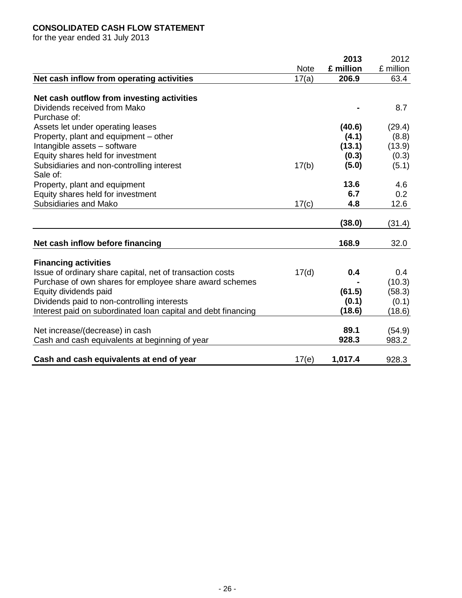## **CONSOLIDATED CASH FLOW STATEMENT**

for the year ended 31 July 2013

|                                                               |             | 2013      | 2012      |
|---------------------------------------------------------------|-------------|-----------|-----------|
|                                                               | <b>Note</b> | £ million | £ million |
| Net cash inflow from operating activities                     | 17(a)       | 206.9     | 63.4      |
|                                                               |             |           |           |
| Net cash outflow from investing activities                    |             |           |           |
| Dividends received from Mako                                  |             |           | 8.7       |
| Purchase of:                                                  |             |           |           |
| Assets let under operating leases                             |             | (40.6)    | (29.4)    |
| Property, plant and equipment – other                         |             | (4.1)     | (8.8)     |
| Intangible assets - software                                  |             | (13.1)    | (13.9)    |
| Equity shares held for investment                             |             | (0.3)     | (0.3)     |
| Subsidiaries and non-controlling interest                     | 17(b)       | (5.0)     | (5.1)     |
| Sale of:                                                      |             |           |           |
| Property, plant and equipment                                 |             | 13.6      | 4.6       |
| Equity shares held for investment                             |             | 6.7       | 0.2       |
| Subsidiaries and Mako                                         | 17(c)       | 4.8       | 12.6      |
|                                                               |             |           |           |
|                                                               |             | (38.0)    | (31.4)    |
|                                                               |             |           |           |
| Net cash inflow before financing                              |             | 168.9     | 32.0      |
| <b>Financing activities</b>                                   |             |           |           |
| Issue of ordinary share capital, net of transaction costs     | 17(d)       | 0.4       | 0.4       |
| Purchase of own shares for employee share award schemes       |             |           | (10.3)    |
| Equity dividends paid                                         |             | (61.5)    | (58.3)    |
| Dividends paid to non-controlling interests                   |             | (0.1)     | (0.1)     |
| Interest paid on subordinated loan capital and debt financing |             | (18.6)    | (18.6)    |
|                                                               |             |           |           |
| Net increase/(decrease) in cash                               |             | 89.1      | (54.9)    |
| Cash and cash equivalents at beginning of year                |             | 928.3     | 983.2     |
|                                                               |             |           |           |
| Cash and cash equivalents at end of year                      | 17(e)       | 1,017.4   | 928.3     |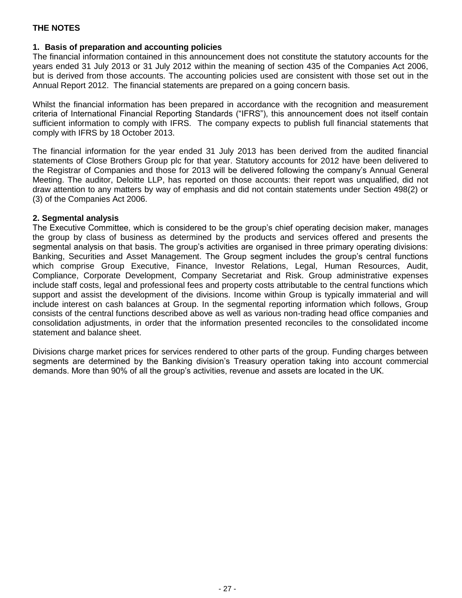## **1. Basis of preparation and accounting policies**

The financial information contained in this announcement does not constitute the statutory accounts for the years ended 31 July 2013 or 31 July 2012 within the meaning of section 435 of the Companies Act 2006, but is derived from those accounts. The accounting policies used are consistent with those set out in the Annual Report 2012. The financial statements are prepared on a going concern basis.

Whilst the financial information has been prepared in accordance with the recognition and measurement criteria of International Financial Reporting Standards ("IFRS"), this announcement does not itself contain sufficient information to comply with IFRS. The company expects to publish full financial statements that comply with IFRS by 18 October 2013.

The financial information for the year ended 31 July 2013 has been derived from the audited financial statements of Close Brothers Group plc for that year. Statutory accounts for 2012 have been delivered to the Registrar of Companies and those for 2013 will be delivered following the company's Annual General Meeting. The auditor, Deloitte LLP, has reported on those accounts: their report was unqualified, did not draw attention to any matters by way of emphasis and did not contain statements under Section 498(2) or (3) of the Companies Act 2006.

### **2. Segmental analysis**

The Executive Committee, which is considered to be the group's chief operating decision maker, manages the group by class of business as determined by the products and services offered and presents the segmental analysis on that basis. The group's activities are organised in three primary operating divisions: Banking, Securities and Asset Management. The Group segment includes the group's central functions which comprise Group Executive, Finance, Investor Relations, Legal, Human Resources, Audit, Compliance, Corporate Development, Company Secretariat and Risk. Group administrative expenses include staff costs, legal and professional fees and property costs attributable to the central functions which support and assist the development of the divisions. Income within Group is typically immaterial and will include interest on cash balances at Group. In the segmental reporting information which follows, Group consists of the central functions described above as well as various non-trading head office companies and consolidation adjustments, in order that the information presented reconciles to the consolidated income statement and balance sheet.

Divisions charge market prices for services rendered to other parts of the group. Funding charges between segments are determined by the Banking division's Treasury operation taking into account commercial demands. More than 90% of all the group's activities, revenue and assets are located in the UK.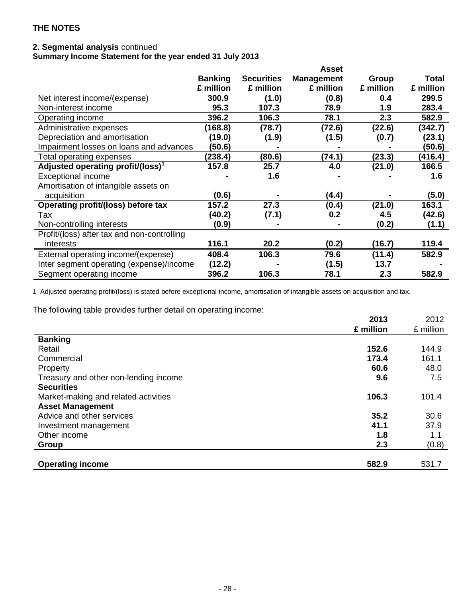## **2. Segmental analysis** continued

**Summary Income Statement for the year ended 31 July 2013**

|                                               |                |                   | <b>Asset</b>      |           |              |
|-----------------------------------------------|----------------|-------------------|-------------------|-----------|--------------|
|                                               | <b>Banking</b> | <b>Securities</b> | <b>Management</b> | Group     | <b>Total</b> |
|                                               | £ million      | £ million         | £ million         | £ million | £ million    |
| Net interest income/(expense)                 | 300.9          | (1.0)             | (0.8)             | 0.4       | 299.5        |
| Non-interest income                           | 95.3           | 107.3             | 78.9              | 1.9       | 283.4        |
| Operating income                              | 396.2          | 106.3             | 78.1              | 2.3       | 582.9        |
| Administrative expenses                       | (168.8)        | (78.7)            | (72.6)            | (22.6)    | (342.7)      |
| Depreciation and amortisation                 | (19.0)         | (1.9)             | (1.5)             | (0.7)     | (23.1)       |
| Impairment losses on loans and advances       | (50.6)         |                   |                   |           | (50.6)       |
| Total operating expenses                      | (238.4)        | (80.6)            | (74.1)            | (23.3)    | (416.4)      |
| Adjusted operating profit/(loss) <sup>1</sup> | 157.8          | 25.7              | 4.0               | (21.0)    | 166.5        |
| <b>Exceptional income</b>                     |                | 1.6               |                   |           | 1.6          |
| Amortisation of intangible assets on          |                |                   |                   |           |              |
| acquisition                                   | (0.6)          |                   | (4.4)             |           | (5.0)        |
| Operating profit/(loss) before tax            | 157.2          | 27.3              | (0.4)             | (21.0)    | 163.1        |
| Tax                                           | (40.2)         | (7.1)             | 0.2               | 4.5       | (42.6)       |
| Non-controlling interests                     | (0.9)          |                   |                   | (0.2)     | (1.1)        |
| Profit/(loss) after tax and non-controlling   |                |                   |                   |           |              |
| interests                                     | 116.1          | 20.2              | (0.2)             | (16.7)    | 119.4        |
| External operating income/(expense)           | 408.4          | 106.3             | 79.6              | (11.4)    | 582.9        |
| Inter segment operating (expense)/income      | (12.2)         |                   | (1.5)             | 13.7      |              |
| Segment operating income                      | 396.2          | 106.3             | 78.1              | 2.3       | 582.9        |

1 Adjusted operating profit/(loss) is stated before exceptional income, amortisation of intangible assets on acquisition and tax.

The following table provides further detail on operating income:

|                                       | 2013      | 2012      |
|---------------------------------------|-----------|-----------|
|                                       | £ million | £ million |
| <b>Banking</b>                        |           |           |
| Retail                                | 152.6     | 144.9     |
| Commercial                            | 173.4     | 161.1     |
| Property                              | 60.6      | 48.0      |
| Treasury and other non-lending income | 9.6       | 7.5       |
| <b>Securities</b>                     |           |           |
| Market-making and related activities  | 106.3     | 101.4     |
| <b>Asset Management</b>               |           |           |
| Advice and other services             | 35.2      | 30.6      |
| Investment management                 | 41.1      | 37.9      |
| Other income                          | 1.8       | 1.1       |
| Group                                 | 2.3       | (0.8)     |
|                                       |           |           |
| <b>Operating income</b>               | 582.9     | 531.7     |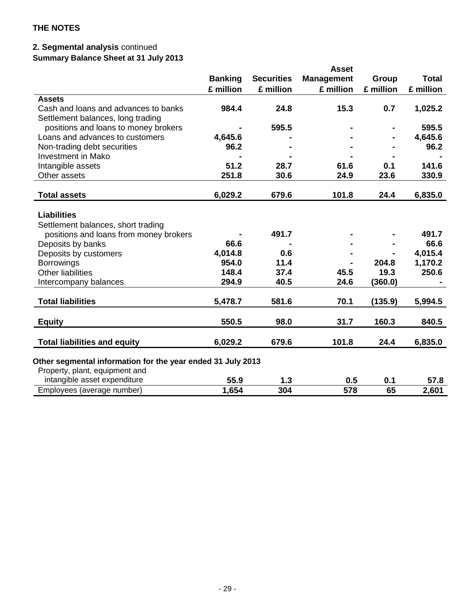# **2. Segmental analysis** continued

**Summary Balance Sheet at 31 July 2013**

|                                                             |                |                   | <b>Asset</b>      |              |              |
|-------------------------------------------------------------|----------------|-------------------|-------------------|--------------|--------------|
|                                                             | <b>Banking</b> | <b>Securities</b> | <b>Management</b> | <b>Group</b> | <b>Total</b> |
|                                                             | £ million      | £ million         | £ million         | £ million    | £ million    |
| <b>Assets</b>                                               |                |                   |                   |              |              |
| Cash and loans and advances to banks                        | 984.4          | 24.8              | 15.3              | 0.7          | 1,025.2      |
| Settlement balances, long trading                           |                |                   |                   |              |              |
| positions and loans to money brokers                        |                | 595.5             |                   |              | 595.5        |
| Loans and advances to customers                             | 4,645.6        |                   |                   |              | 4,645.6      |
| Non-trading debt securities                                 | 96.2           |                   |                   |              | 96.2         |
| <b>Investment in Mako</b>                                   |                |                   |                   |              |              |
| Intangible assets                                           | 51.2           | 28.7              | 61.6              | 0.1          | 141.6        |
| Other assets                                                | 251.8          | 30.6              | 24.9              | 23.6         | 330.9        |
|                                                             |                |                   |                   |              |              |
| <b>Total assets</b>                                         | 6,029.2        | 679.6             | 101.8             | 24.4         | 6,835.0      |
| <b>Liabilities</b>                                          |                |                   |                   |              |              |
|                                                             |                |                   |                   |              |              |
| Settlement balances, short trading                          |                | 491.7             |                   |              | 491.7        |
| positions and loans from money brokers                      | 66.6           |                   |                   |              | 66.6         |
| Deposits by banks                                           |                |                   |                   |              |              |
| Deposits by customers                                       | 4,014.8        | 0.6               |                   |              | 4,015.4      |
| <b>Borrowings</b>                                           | 954.0          | 11.4              |                   | 204.8        | 1,170.2      |
| <b>Other liabilities</b>                                    | 148.4          | 37.4              | 45.5              | 19.3         | 250.6        |
| Intercompany balances                                       | 294.9          | 40.5              | 24.6              | (360.0)      |              |
| <b>Total liabilities</b>                                    | 5,478.7        | 581.6             | 70.1              | (135.9)      | 5,994.5      |
|                                                             |                |                   |                   |              |              |
| <b>Equity</b>                                               | 550.5          | 98.0              | 31.7              | 160.3        | 840.5        |
|                                                             |                |                   |                   |              |              |
| <b>Total liabilities and equity</b>                         | 6,029.2        | 679.6             | 101.8             | 24.4         | 6,835.0      |
| Other segmental information for the year ended 31 July 2013 |                |                   |                   |              |              |
| Property, plant, equipment and                              |                |                   |                   |              |              |
| intangible asset expenditure                                | 55.9           | 1.3               | 0.5               | 0.1          | 57.8         |
| Employees (average number)                                  | 1,654          | 304               | 578               | 65           | 2,601        |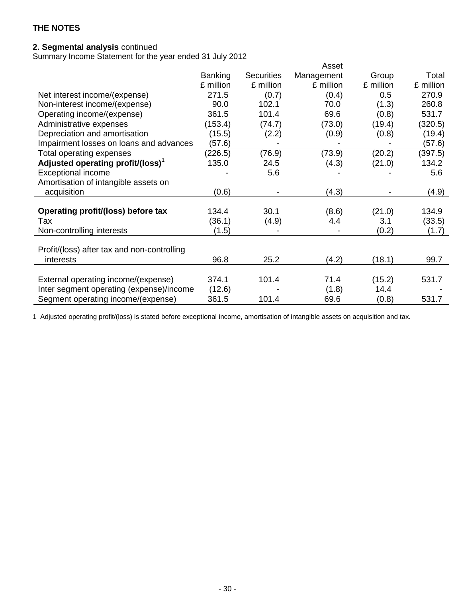## **2. Segmental analysis** continued

Summary Income Statement for the year ended 31 July 2012

|                                               |                |                   | Asset      |           |           |
|-----------------------------------------------|----------------|-------------------|------------|-----------|-----------|
|                                               | <b>Banking</b> | <b>Securities</b> | Management | Group     | Total     |
|                                               | £ million      | £ million         | £ million  | £ million | £ million |
| Net interest income/(expense)                 | 271.5          | (0.7)             | (0.4)      | 0.5       | 270.9     |
| Non-interest income/(expense)                 | 90.0           | 102.1             | 70.0       | (1.3)     | 260.8     |
| Operating income/(expense)                    | 361.5          | 101.4             | 69.6       | (0.8)     | 531.7     |
| Administrative expenses                       | (153.4)        | (74.7)            | (73.0)     | (19.4)    | (320.5)   |
| Depreciation and amortisation                 | (15.5)         | (2.2)             | (0.9)      | (0.8)     | (19.4)    |
| Impairment losses on loans and advances       | (57.6)         |                   |            |           | (57.6)    |
| Total operating expenses                      | (226.5)        | (76.9)            | (73.9)     | (20.2)    | (397.5)   |
| Adjusted operating profit/(loss) <sup>1</sup> | 135.0          | 24.5              | (4.3)      | (21.0)    | 134.2     |
| <b>Exceptional income</b>                     |                | 5.6               |            |           | 5.6       |
| Amortisation of intangible assets on          |                |                   |            |           |           |
| acquisition                                   | (0.6)          |                   | (4.3)      |           | (4.9)     |
|                                               |                |                   |            |           |           |
| Operating profit/(loss) before tax            | 134.4          | 30.1              | (8.6)      | (21.0)    | 134.9     |
| Tax                                           | (36.1)         | (4.9)             | 4.4        | 3.1       | (33.5)    |
| Non-controlling interests                     | (1.5)          |                   |            | (0.2)     | (1.7)     |
|                                               |                |                   |            |           |           |
| Profit/(loss) after tax and non-controlling   |                |                   |            |           |           |
| interests                                     | 96.8           | 25.2              | (4.2)      | (18.1)    | 99.7      |
|                                               |                |                   |            |           |           |
| External operating income/(expense)           | 374.1          | 101.4             | 71.4       | (15.2)    | 531.7     |
| Inter segment operating (expense)/income      | (12.6)         |                   | (1.8)      | 14.4      |           |
| Segment operating income/(expense)            | 361.5          | 101.4             | 69.6       | (0.8)     | 531.7     |

1 Adjusted operating profit/(loss) is stated before exceptional income, amortisation of intangible assets on acquisition and tax.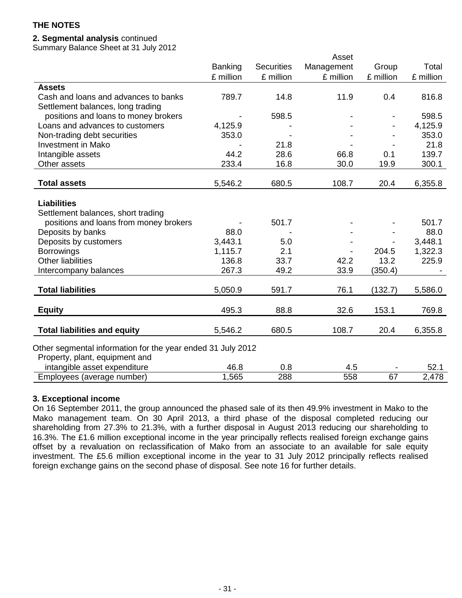## **2. Segmental analysis** continued

Summary Balance Sheet at 31 July 2012

|                                                             |                |                   | Asset      |           |               |
|-------------------------------------------------------------|----------------|-------------------|------------|-----------|---------------|
|                                                             | <b>Banking</b> | <b>Securities</b> | Management | Group     | Total         |
|                                                             | £ million      | £ million         | £ million  | £ million | £ million     |
| <b>Assets</b>                                               |                |                   |            |           |               |
| Cash and loans and advances to banks                        | 789.7          | 14.8              | 11.9       | 0.4       | 816.8         |
| Settlement balances, long trading                           |                |                   |            |           |               |
| positions and loans to money brokers                        |                | 598.5             |            |           | 598.5         |
| Loans and advances to customers                             | 4,125.9        |                   |            |           | 4,125.9       |
| Non-trading debt securities                                 | 353.0          |                   |            |           | 353.0         |
| <b>Investment in Mako</b>                                   |                | 21.8              |            |           | 21.8          |
| Intangible assets                                           | 44.2           | 28.6              | 66.8       | 0.1       | 139.7         |
| Other assets                                                | 233.4          | 16.8              | 30.0       | 19.9      | 300.1         |
|                                                             |                |                   |            |           |               |
| <b>Total assets</b>                                         | 5,546.2        | 680.5             | 108.7      | 20.4      | 6,355.8       |
|                                                             |                |                   |            |           |               |
| <b>Liabilities</b>                                          |                |                   |            |           |               |
| Settlement balances, short trading                          |                |                   |            |           |               |
| positions and loans from money brokers                      |                | 501.7             |            |           | 501.7         |
| Deposits by banks                                           | 88.0           |                   |            |           | 88.0          |
| Deposits by customers                                       | 3,443.1        | 5.0               |            |           | 3,448.1       |
| <b>Borrowings</b>                                           | 1,115.7        | 2.1               |            | 204.5     | 1,322.3       |
| <b>Other liabilities</b>                                    | 136.8          | 33.7              | 42.2       | 13.2      | 225.9         |
| Intercompany balances                                       | 267.3          | 49.2              | 33.9       | (350.4)   |               |
|                                                             |                |                   |            |           |               |
| <b>Total liabilities</b>                                    | 5,050.9        | 591.7             | 76.1       | (132.7)   | 5,586.0       |
| <b>Equity</b>                                               | 495.3          | 88.8              | 32.6       | 153.1     | 769.8         |
|                                                             |                |                   |            |           |               |
| <b>Total liabilities and equity</b>                         | 5,546.2        | 680.5             | 108.7      | 20.4      | 6,355.8       |
|                                                             |                |                   |            |           |               |
| Other segmental information for the year ended 31 July 2012 |                |                   |            |           |               |
| Property, plant, equipment and                              | 46.8           |                   |            |           |               |
| intangible asset expenditure                                | 1,565          | 0.8<br>288        | 4.5<br>558 | 67        | 52.1<br>2,478 |
| Employees (average number)                                  |                |                   |            |           |               |

#### **3. Exceptional income**

On 16 September 2011, the group announced the phased sale of its then 49.9% investment in Mako to the Mako management team. On 30 April 2013, a third phase of the disposal completed reducing our shareholding from 27.3% to 21.3%, with a further disposal in August 2013 reducing our shareholding to 16.3%. The £1.6 million exceptional income in the year principally reflects realised foreign exchange gains offset by a revaluation on reclassification of Mako from an associate to an available for sale equity investment. The £5.6 million exceptional income in the year to 31 July 2012 principally reflects realised foreign exchange gains on the second phase of disposal. See note 16 for further details.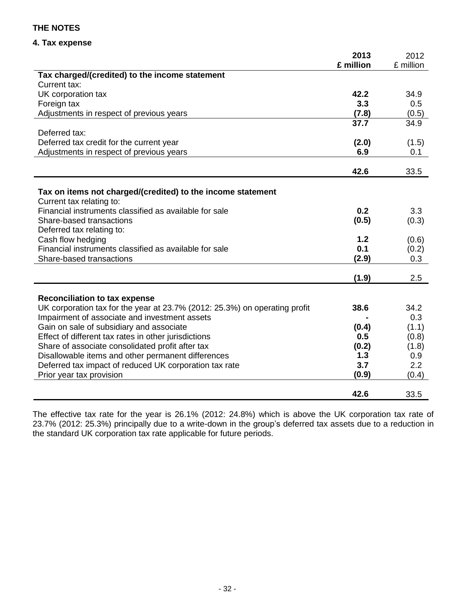## **4. Tax expense**

|                                                                             | 2013       | 2012      |
|-----------------------------------------------------------------------------|------------|-----------|
|                                                                             | £ million  | £ million |
| Tax charged/(credited) to the income statement                              |            |           |
| Current tax:                                                                |            |           |
| UK corporation tax                                                          | 42.2       | 34.9      |
| Foreign tax                                                                 | 3.3        | 0.5       |
| Adjustments in respect of previous years                                    | (7.8)      | (0.5)     |
|                                                                             | 37.7       | 34.9      |
| Deferred tax:                                                               |            |           |
| Deferred tax credit for the current year                                    | (2.0)      | (1.5)     |
| Adjustments in respect of previous years                                    | 6.9        | 0.1       |
|                                                                             |            |           |
|                                                                             | 42.6       | 33.5      |
|                                                                             |            |           |
| Tax on items not charged/(credited) to the income statement                 |            |           |
| Current tax relating to:                                                    |            |           |
| Financial instruments classified as available for sale                      | 0.2        | 3.3       |
| Share-based transactions                                                    | (0.5)      | (0.3)     |
| Deferred tax relating to:                                                   |            |           |
| Cash flow hedging<br>Financial instruments classified as available for sale | 1.2<br>0.1 | (0.6)     |
|                                                                             |            | (0.2)     |
| Share-based transactions                                                    | (2.9)      | 0.3       |
|                                                                             | (1.9)      | 2.5       |
|                                                                             |            |           |
| <b>Reconciliation to tax expense</b>                                        |            |           |
| UK corporation tax for the year at 23.7% (2012: 25.3%) on operating profit  | 38.6       | 34.2      |
| Impairment of associate and investment assets                               |            | 0.3       |
| Gain on sale of subsidiary and associate                                    | (0.4)      | (1.1)     |
| Effect of different tax rates in other jurisdictions                        | 0.5        | (0.8)     |
| Share of associate consolidated profit after tax                            | (0.2)      | (1.8)     |
| Disallowable items and other permanent differences                          | 1.3        | 0.9       |
| Deferred tax impact of reduced UK corporation tax rate                      | 3.7        | 2.2       |
| Prior year tax provision                                                    | (0.9)      | (0.4)     |
|                                                                             |            |           |
|                                                                             | 42.6       | 33.5      |

The effective tax rate for the year is 26.1% (2012: 24.8%) which is above the UK corporation tax rate of 23.7% (2012: 25.3%) principally due to a write-down in the group's deferred tax assets due to a reduction in the standard UK corporation tax rate applicable for future periods.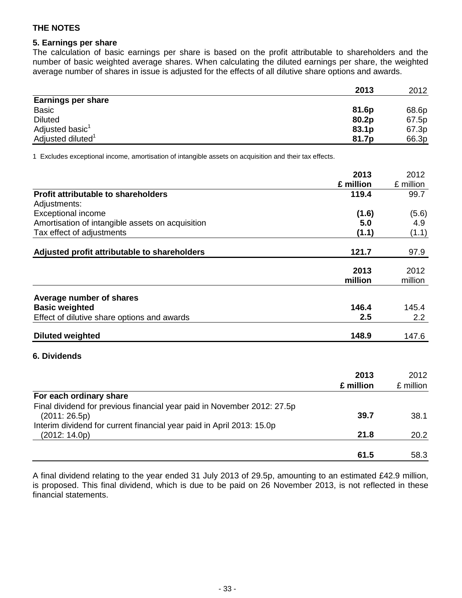## **5. Earnings per share**

The calculation of basic earnings per share is based on the profit attributable to shareholders and the number of basic weighted average shares. When calculating the diluted earnings per share, the weighted average number of shares in issue is adjusted for the effects of all dilutive share options and awards.

|                               | 2013  | 2012  |
|-------------------------------|-------|-------|
| <b>Earnings per share</b>     |       |       |
| <b>Basic</b>                  | 81.6p | 68.6p |
| <b>Diluted</b>                | 80.2p | 67.5p |
| Adjusted basic <sup>1</sup>   | 83.1p | 67.3p |
| Adjusted diluted <sup>1</sup> | 81.7p | 66.3p |

1 Excludes exceptional income, amortisation of intangible assets on acquisition and their tax effects.

|                                                                         | 2013      | 2012      |
|-------------------------------------------------------------------------|-----------|-----------|
|                                                                         | £ million | £ million |
| <b>Profit attributable to shareholders</b>                              | 119.4     | 99.7      |
| Adjustments:                                                            |           |           |
| <b>Exceptional income</b>                                               | (1.6)     | (5.6)     |
| Amortisation of intangible assets on acquisition                        | 5.0       | 4.9       |
| Tax effect of adjustments                                               | (1.1)     | (1.1)     |
| Adjusted profit attributable to shareholders                            | 121.7     | 97.9      |
|                                                                         | 2013      | 2012      |
|                                                                         | million   | million   |
|                                                                         |           |           |
| Average number of shares                                                | 146.4     | 145.4     |
| <b>Basic weighted</b>                                                   | 2.5       | 2.2       |
| Effect of dilutive share options and awards                             |           |           |
| <b>Diluted weighted</b>                                                 | 148.9     | 147.6     |
| <b>6. Dividends</b>                                                     |           |           |
|                                                                         | 2013      | 2012      |
|                                                                         | £ million | £ million |
| For each ordinary share                                                 |           |           |
| Final dividend for previous financial year paid in November 2012: 27.5p |           |           |
| (2011:26.5p)                                                            | 39.7      | 38.1      |
| Interim dividend for current financial year paid in April 2013: 15.0p   |           |           |
| (2012: 14.0p)                                                           | 21.8      | 20.2      |
|                                                                         | 61.5      | 58.3      |
|                                                                         |           |           |

A final dividend relating to the year ended 31 July 2013 of 29.5p, amounting to an estimated £42.9 million, is proposed. This final dividend, which is due to be paid on 26 November 2013, is not reflected in these financial statements.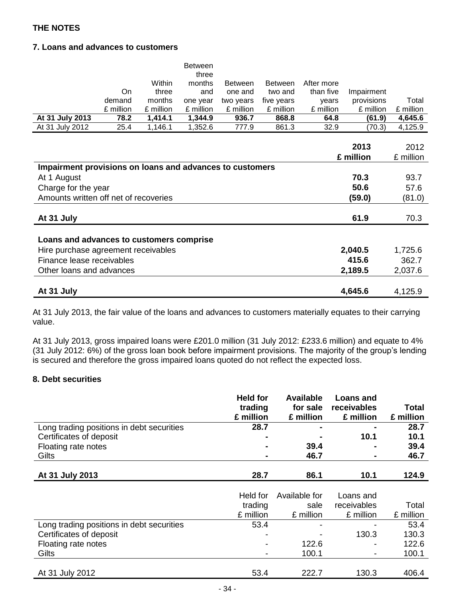## **7. Loans and advances to customers**

|                                                          |           |           | <b>Between</b><br>three |                |                |            |            |           |
|----------------------------------------------------------|-----------|-----------|-------------------------|----------------|----------------|------------|------------|-----------|
|                                                          |           | Within    | months                  | <b>Between</b> | <b>Between</b> | After more |            |           |
|                                                          | On        | three     | and                     | one and        | two and        | than five  | Impairment |           |
|                                                          | demand    | months    | one year                | two years      | five years     | years      | provisions | Total     |
|                                                          | £ million | £ million | £ million               | £ million      | £ million      | £ million  | £ million  | £ million |
| At 31 July 2013                                          | 78.2      | 1,414.1   | 1,344.9                 | 936.7          | 868.8          | 64.8       | (61.9)     | 4,645.6   |
| At 31 July 2012                                          | 25.4      | 1,146.1   | 1,352.6                 | 777.9          | 861.3          | 32.9       | (70.3)     | 4,125.9   |
|                                                          |           |           |                         |                |                |            |            |           |
|                                                          |           |           |                         |                |                |            | 2013       | 2012      |
|                                                          |           |           |                         |                |                |            | £ million  | £ million |
| Impairment provisions on loans and advances to customers |           |           |                         |                |                |            |            |           |
| At 1 August                                              |           |           |                         |                |                |            | 70.3       | 93.7      |
| Charge for the year                                      |           |           |                         |                |                |            | 50.6       | 57.6      |
| Amounts written off net of recoveries                    |           |           |                         |                |                |            | (59.0)     | (81.0)    |
|                                                          |           |           |                         |                |                |            |            |           |
| At 31 July                                               |           |           |                         |                |                |            | 61.9       | 70.3      |
|                                                          |           |           |                         |                |                |            |            |           |
| Loans and advances to customers comprise                 |           |           |                         |                |                |            |            |           |
| Hire purchase agreement receivables                      |           |           |                         |                |                |            | 2,040.5    | 1,725.6   |
| Finance lease receivables                                |           |           |                         |                |                |            | 415.6      | 362.7     |
| Other loans and advances                                 |           |           |                         |                |                |            | 2,189.5    | 2,037.6   |
|                                                          |           |           |                         |                |                |            |            |           |
| At 31 July                                               |           |           |                         |                |                |            | 4,645.6    | 4,125.9   |

At 31 July 2013, the fair value of the loans and advances to customers materially equates to their carrying value.

At 31 July 2013, gross impaired loans were £201.0 million (31 July 2012: £233.6 million) and equate to 4% (31 July 2012: 6%) of the gross loan book before impairment provisions. The majority of the group's lending is secured and therefore the gross impaired loans quoted do not reflect the expected loss.

## **8. Debt securities**

|                                           | <b>Held for</b><br>trading<br>£ million | <b>Available</b><br>for sale<br>£ million | <b>Loans and</b><br>receivables<br>£ million | Total<br>£ million |
|-------------------------------------------|-----------------------------------------|-------------------------------------------|----------------------------------------------|--------------------|
| Long trading positions in debt securities | 28.7                                    | $\blacksquare$                            | $\blacksquare$                               | 28.7               |
| Certificates of deposit                   |                                         | $\blacksquare$                            | 10.1                                         | 10.1               |
| Floating rate notes                       | $\blacksquare$                          | 39.4                                      | $\blacksquare$                               | 39.4               |
| Gilts                                     | $\blacksquare$                          | 46.7                                      | $\blacksquare$                               | 46.7               |
|                                           |                                         |                                           |                                              |                    |
| At 31 July 2013                           | 28.7                                    | 86.1                                      | 10.1                                         | 124.9              |

|                                           | Held for<br>trading<br>£ million | Available for<br>sale<br>£ million | Loans and<br>receivables<br>£ million | Total<br>£ million |
|-------------------------------------------|----------------------------------|------------------------------------|---------------------------------------|--------------------|
| Long trading positions in debt securities | 53.4                             | -                                  |                                       | 53.4               |
| Certificates of deposit                   |                                  | $\overline{\phantom{a}}$           | 130.3                                 | 130.3              |
| Floating rate notes                       |                                  | 122.6                              | $\overline{\phantom{a}}$              | 122.6              |
| Gilts                                     |                                  | 100.1                              | $\blacksquare$                        | 100.1              |
|                                           |                                  |                                    |                                       |                    |
| At 31 July 2012                           | 53.4                             | 222.7                              | 130.3                                 | 406.4              |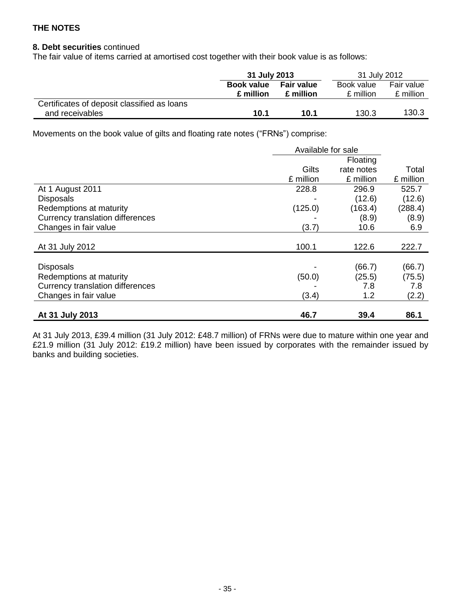## **8. Debt securities** continued

The fair value of items carried at amortised cost together with their book value is as follows:

|                                             | 31 July 2013      |                   |            |            | 31 July 2012 |  |
|---------------------------------------------|-------------------|-------------------|------------|------------|--------------|--|
|                                             | <b>Book value</b> | <b>Fair value</b> | Book value | Fair value |              |  |
|                                             | £ million         | £ million         | £ million  | £ million  |              |  |
| Certificates of deposit classified as loans |                   |                   |            |            |              |  |
| and receivables                             | 10.1              | 10.1              | 130.3      | 130.3      |              |  |

Movements on the book value of gilts and floating rate notes ("FRNs") comprise:

|                                         | Available for sale |            |           |
|-----------------------------------------|--------------------|------------|-----------|
|                                         |                    | Floating   |           |
|                                         | Gilts              | rate notes | Total     |
|                                         | £ million          | £ million  | £ million |
| At 1 August 2011                        | 228.8              | 296.9      | 525.7     |
| <b>Disposals</b>                        |                    | (12.6)     | (12.6)    |
| Redemptions at maturity                 | (125.0)            | (163.4)    | (288.4)   |
| <b>Currency translation differences</b> |                    | (8.9)      | (8.9)     |
| Changes in fair value                   | (3.7)              | 10.6       | 6.9       |
|                                         |                    |            |           |
| At 31 July 2012                         | 100.1              | 122.6      | 222.7     |
|                                         |                    |            |           |
| <b>Disposals</b>                        |                    | (66.7)     | (66.7)    |
| Redemptions at maturity                 | (50.0)             | (25.5)     | (75.5)    |
| Currency translation differences        |                    | 7.8        | 7.8       |
| Changes in fair value                   | (3.4)              | 1.2        | (2.2)     |
|                                         |                    |            |           |
| At 31 July 2013                         | 46.7               | 39.4       | 86.1      |

At 31 July 2013, £39.4 million (31 July 2012: £48.7 million) of FRNs were due to mature within one year and £21.9 million (31 July 2012: £19.2 million) have been issued by corporates with the remainder issued by banks and building societies.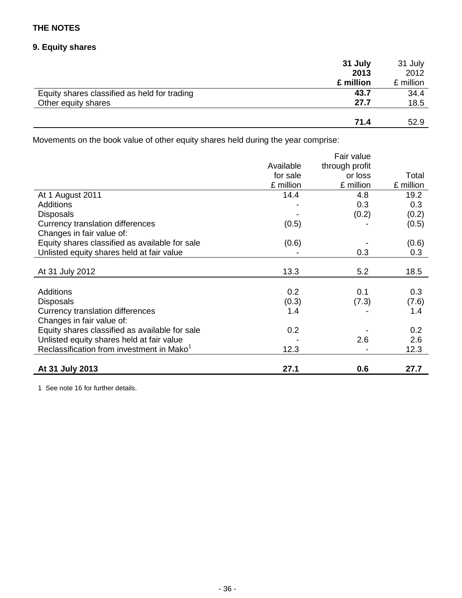## **9. Equity shares**

|                                              | 31 July   | 31 July   |
|----------------------------------------------|-----------|-----------|
|                                              | 2013      | 2012      |
|                                              | £ million | £ million |
| Equity shares classified as held for trading | 43.7      | 34.4      |
| Other equity shares                          | 27.7      | 18.5      |
|                                              |           |           |
|                                              | 71.4      | 52.9      |

Movements on the book value of other equity shares held during the year comprise:

|                                                       |           | Fair value     |           |
|-------------------------------------------------------|-----------|----------------|-----------|
|                                                       | Available | through profit |           |
|                                                       | for sale  | or loss        | Total     |
|                                                       | £ million | £ million      | £ million |
| At 1 August 2011                                      | 14.4      | 4.8            | 19.2      |
| <b>Additions</b>                                      |           | 0.3            | 0.3       |
| <b>Disposals</b>                                      |           | (0.2)          | (0.2)     |
| Currency translation differences                      | (0.5)     |                | (0.5)     |
| Changes in fair value of:                             |           |                |           |
| Equity shares classified as available for sale        | (0.6)     |                | (0.6)     |
| Unlisted equity shares held at fair value             |           | 0.3            | 0.3       |
|                                                       |           |                |           |
| At 31 July 2012                                       | 13.3      | 5.2            | 18.5      |
|                                                       |           |                |           |
| <b>Additions</b>                                      | 0.2       | 0.1            | 0.3       |
| <b>Disposals</b>                                      | (0.3)     | (7.3)          | (7.6)     |
| Currency translation differences                      | 1.4       |                | 1.4       |
| Changes in fair value of:                             |           |                |           |
| Equity shares classified as available for sale        | 0.2       |                | 0.2       |
| Unlisted equity shares held at fair value             |           | 2.6            | 2.6       |
| Reclassification from investment in Mako <sup>1</sup> | 12.3      |                | 12.3      |
|                                                       |           |                |           |
| At 31 July 2013                                       | 27.1      | 0.6            | 27.7      |

1 See note 16 for further details.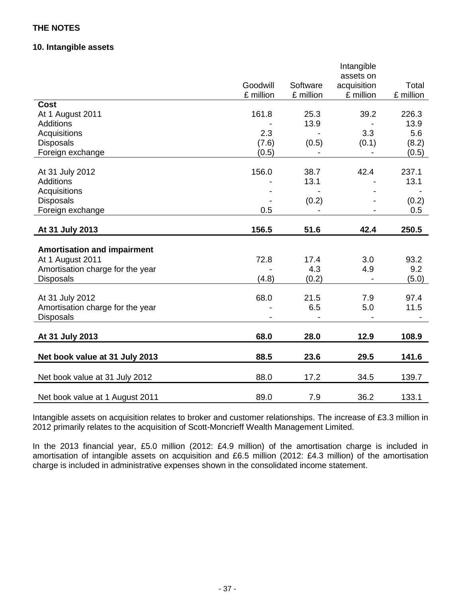## **10. Intangible assets**

|                                    |           |           | Intangible<br>assets on |           |
|------------------------------------|-----------|-----------|-------------------------|-----------|
|                                    | Goodwill  | Software  | acquisition             | Total     |
|                                    | £ million | £ million | £ million               | £ million |
| <b>Cost</b>                        |           |           |                         |           |
| At 1 August 2011                   | 161.8     | 25.3      | 39.2                    | 226.3     |
| <b>Additions</b>                   |           | 13.9      |                         | 13.9      |
| Acquisitions                       | 2.3       |           | 3.3                     | 5.6       |
| <b>Disposals</b>                   | (7.6)     | (0.5)     | (0.1)                   | (8.2)     |
| Foreign exchange                   | (0.5)     |           |                         | (0.5)     |
|                                    |           |           |                         |           |
| At 31 July 2012                    | 156.0     | 38.7      | 42.4                    | 237.1     |
| <b>Additions</b>                   |           | 13.1      |                         | 13.1      |
| Acquisitions                       |           |           |                         |           |
| <b>Disposals</b>                   |           | (0.2)     |                         | (0.2)     |
| Foreign exchange                   | 0.5       |           |                         | 0.5       |
|                                    |           |           |                         |           |
| At 31 July 2013                    | 156.5     | 51.6      | 42.4                    | 250.5     |
|                                    |           |           |                         |           |
| <b>Amortisation and impairment</b> |           |           |                         |           |
| At 1 August 2011                   | 72.8      | 17.4      | 3.0                     | 93.2      |
| Amortisation charge for the year   |           | 4.3       | 4.9                     | 9.2       |
| <b>Disposals</b>                   | (4.8)     | (0.2)     |                         | (5.0)     |
|                                    |           |           |                         |           |
| At 31 July 2012                    | 68.0      | 21.5      | 7.9                     | 97.4      |
| Amortisation charge for the year   |           | 6.5       | 5.0                     | 11.5      |
| <b>Disposals</b>                   |           |           |                         |           |
|                                    |           |           |                         |           |
| At 31 July 2013                    | 68.0      | 28.0      | 12.9                    | 108.9     |
| Net book value at 31 July 2013     | 88.5      | 23.6      | 29.5                    | 141.6     |
|                                    |           |           |                         |           |
| Net book value at 31 July 2012     | 88.0      | 17.2      | 34.5                    | 139.7     |
| Net book value at 1 August 2011    | 89.0      | 7.9       | 36.2                    | 133.1     |

Intangible assets on acquisition relates to broker and customer relationships. The increase of £3.3 million in 2012 primarily relates to the acquisition of Scott-Moncrieff Wealth Management Limited.

In the 2013 financial year, £5.0 million (2012: £4.9 million) of the amortisation charge is included in amortisation of intangible assets on acquisition and £6.5 million (2012: £4.3 million) of the amortisation charge is included in administrative expenses shown in the consolidated income statement.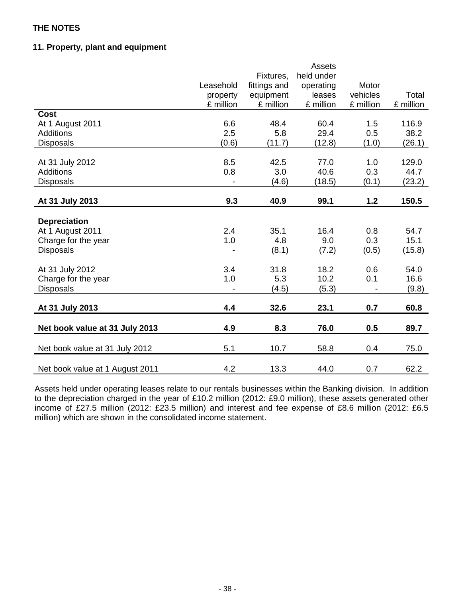## **11. Property, plant and equipment**

|                                 |           |              | <b>Assets</b> |           |           |
|---------------------------------|-----------|--------------|---------------|-----------|-----------|
|                                 |           | Fixtures,    | held under    |           |           |
|                                 | Leasehold | fittings and | operating     | Motor     |           |
|                                 | property  | equipment    | leases        | vehicles  | Total     |
|                                 | £ million | £ million    | £ million     | £ million | £ million |
| <b>Cost</b>                     |           |              |               |           |           |
| At 1 August 2011                | 6.6       | 48.4         | 60.4          | 1.5       | 116.9     |
| <b>Additions</b>                | 2.5       | 5.8          | 29.4          | 0.5       | 38.2      |
| <b>Disposals</b>                | (0.6)     | (11.7)       | (12.8)        | (1.0)     | (26.1)    |
|                                 |           |              |               |           |           |
| At 31 July 2012                 | 8.5       | 42.5         | 77.0          | 1.0       | 129.0     |
| Additions                       | 0.8       | 3.0          | 40.6          | 0.3       | 44.7      |
| <b>Disposals</b>                |           | (4.6)        | (18.5)        | (0.1)     | (23.2)    |
| At 31 July 2013                 | 9.3       | 40.9         | 99.1          | 1.2       | 150.5     |
|                                 |           |              |               |           |           |
| <b>Depreciation</b>             |           |              |               |           |           |
| At 1 August 2011                | 2.4       | 35.1         | 16.4          | 0.8       | 54.7      |
| Charge for the year             | 1.0       | 4.8          | 9.0           | 0.3       | 15.1      |
| <b>Disposals</b>                |           | (8.1)        | (7.2)         | (0.5)     | (15.8)    |
|                                 |           |              |               |           |           |
| At 31 July 2012                 | 3.4       | 31.8         | 18.2          | 0.6       | 54.0      |
| Charge for the year             | 1.0       | 5.3          | 10.2          | 0.1       | 16.6      |
| <b>Disposals</b>                |           | (4.5)        | (5.3)         |           | (9.8)     |
|                                 |           |              |               |           |           |
| At 31 July 2013                 | 4.4       | 32.6         | 23.1          | 0.7       | 60.8      |
| Net book value at 31 July 2013  | 4.9       | 8.3          | 76.0          | 0.5       | 89.7      |
|                                 |           |              |               |           |           |
| Net book value at 31 July 2012  | 5.1       | 10.7         | 58.8          | 0.4       | 75.0      |
| Net book value at 1 August 2011 | 4.2       | 13.3         | 44.0          | 0.7       | 62.2      |

Assets held under operating leases relate to our rentals businesses within the Banking division. In addition to the depreciation charged in the year of £10.2 million (2012: £9.0 million), these assets generated other income of £27.5 million (2012: £23.5 million) and interest and fee expense of £8.6 million (2012: £6.5 million) which are shown in the consolidated income statement.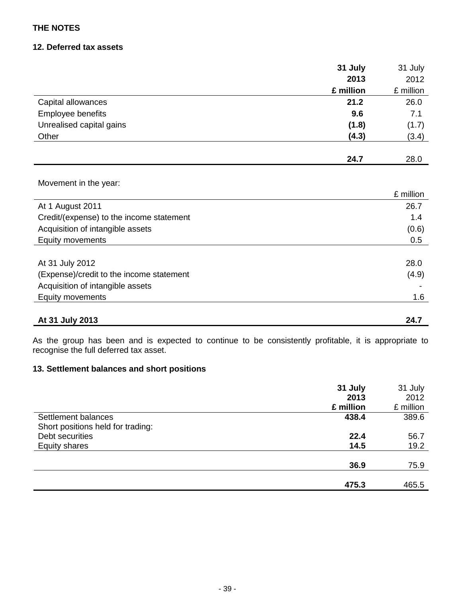## **12. Deferred tax assets**

|                                          | 31 July   | 31 July   |
|------------------------------------------|-----------|-----------|
|                                          | 2013      | 2012      |
|                                          | £ million | £ million |
| Capital allowances                       | 21.2      | 26.0      |
| Employee benefits                        | 9.6       | 7.1       |
| Unrealised capital gains                 | (1.8)     | (1.7)     |
| Other                                    | (4.3)     | (3.4)     |
|                                          |           |           |
|                                          | 24.7      | 28.0      |
|                                          |           |           |
| Movement in the year:                    |           |           |
|                                          |           | £ million |
| At 1 August 2011                         |           | 26.7      |
| Credit/(expense) to the income statement |           | 1.4       |
| Acquisition of intangible assets         |           | (0.6)     |
| Equity movements                         |           | 0.5       |
|                                          |           |           |
| At 31 July 2012                          |           | 28.0      |
| (Expense)/credit to the income statement |           | (4.9)     |
| Acquisition of intangible assets         |           |           |
| Equity movements                         |           | 1.6       |
|                                          |           |           |
| At 31 July 2013                          |           | 24.7      |

As the group has been and is expected to continue to be consistently profitable, it is appropriate to recognise the full deferred tax asset.

## **13. Settlement balances and short positions**

|                                   | 31 July   | 31 July   |
|-----------------------------------|-----------|-----------|
|                                   | 2013      | 2012      |
|                                   | £ million | £ million |
| Settlement balances               | 438.4     | 389.6     |
| Short positions held for trading: |           |           |
| Debt securities                   | 22.4      | 56.7      |
| <b>Equity shares</b>              | 14.5      | 19.2      |
|                                   |           |           |
|                                   | 36.9      | 75.9      |
|                                   |           |           |
|                                   | 475.3     | 465.5     |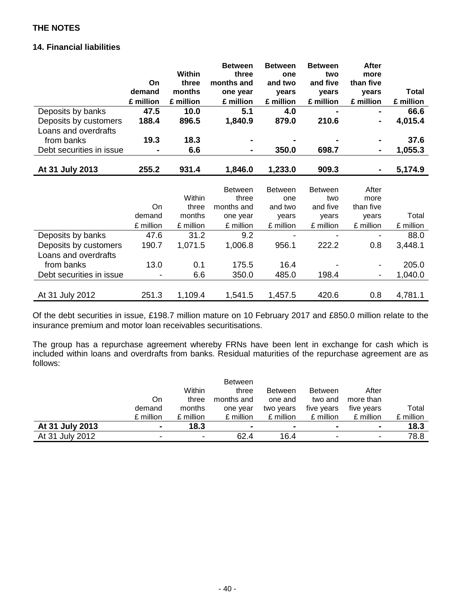## **14. Financial liabilities**

|                          |           |           | <b>Between</b> | <b>Between</b> | <b>Between</b> | After                    |           |
|--------------------------|-----------|-----------|----------------|----------------|----------------|--------------------------|-----------|
|                          |           | Within    | three          | one            | two            | more                     |           |
|                          | On        | three     | months and     | and two        | and five       | than five                |           |
|                          | demand    | months    | one year       | years          | years          | years                    | Total     |
|                          | £ million | £ million | £ million      | £ million      | £ million      | £ million                | £ million |
| Deposits by banks        | 47.5      | 10.0      | 5.1            | 4.0            |                |                          | 66.6      |
| Deposits by customers    | 188.4     | 896.5     | 1,840.9        | 879.0          | 210.6          | ۰                        | 4,015.4   |
| Loans and overdrafts     |           |           |                |                |                |                          |           |
| from banks               | 19.3      | 18.3      |                |                |                |                          | 37.6      |
| Debt securities in issue |           | 6.6       | $\blacksquare$ | 350.0          | 698.7          | $\blacksquare$           | 1,055.3   |
|                          |           |           |                |                |                |                          |           |
| At 31 July 2013          | 255.2     | 931.4     | 1,846.0        | 1,233.0        | 909.3          | ۰                        | 5,174.9   |
|                          |           |           |                |                |                |                          |           |
|                          |           |           | <b>Between</b> | <b>Between</b> | <b>Between</b> | After                    |           |
|                          |           | Within    | three          | one            | two            | more                     |           |
|                          | On        | three     | months and     | and two        | and five       | than five                |           |
|                          | demand    | months    | one year       | years          | years          | years                    | Total     |
|                          | £ million | £ million | £ million      | £ million      | £ million      | £ million                | £ million |
| Deposits by banks        | 47.6      | 31.2      | 9.2            |                |                |                          | 88.0      |
| Deposits by customers    | 190.7     | 1,071.5   | 1,006.8        | 956.1          | 222.2          | 0.8                      | 3,448.1   |
| Loans and overdrafts     |           |           |                |                |                |                          |           |
| from banks               | 13.0      | 0.1       | 175.5          | 16.4           |                |                          | 205.0     |
| Debt securities in issue |           | 6.6       | 350.0          | 485.0          | 198.4          | $\overline{\phantom{a}}$ | 1,040.0   |
|                          |           |           |                |                |                |                          |           |
| At 31 July 2012          | 251.3     | 1,109.4   | 1,541.5        | 1,457.5        | 420.6          | 0.8                      | 4,781.1   |

Of the debt securities in issue, £198.7 million mature on 10 February 2017 and £850.0 million relate to the insurance premium and motor loan receivables securitisations.

The group has a repurchase agreement whereby FRNs have been lent in exchange for cash which is included within loans and overdrafts from banks. Residual maturities of the repurchase agreement are as follows:

|                 |           |                | <b>Between</b> |                |                |                |           |
|-----------------|-----------|----------------|----------------|----------------|----------------|----------------|-----------|
|                 |           | Within         | three          | <b>Between</b> | <b>Between</b> | After          |           |
|                 | On        | three          | months and     | one and        | two and        | more than      |           |
|                 | demand    | months         | one year       | two years      | five years     | five years     | Total     |
|                 | £ million | £ million      | £ million      | £ million      | £ million      | £ million      | £ million |
| At 31 July 2013 |           | 18.3           | $\blacksquare$ |                | $\blacksquare$ | ۰              | 18.3      |
| At 31 July 2012 |           | $\blacksquare$ | 62.4           | 16.4           | -              | $\blacksquare$ | 78.8      |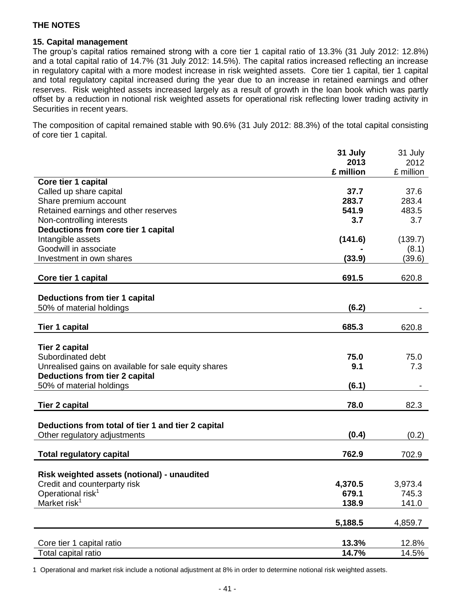### **15. Capital management**

The group's capital ratios remained strong with a core tier 1 capital ratio of 13.3% (31 July 2012: 12.8%) and a total capital ratio of 14.7% (31 July 2012: 14.5%). The capital ratios increased reflecting an increase in regulatory capital with a more modest increase in risk weighted assets. Core tier 1 capital, tier 1 capital and total regulatory capital increased during the year due to an increase in retained earnings and other reserves. Risk weighted assets increased largely as a result of growth in the loan book which was partly offset by a reduction in notional risk weighted assets for operational risk reflecting lower trading activity in Securities in recent years.

The composition of capital remained stable with 90.6% (31 July 2012: 88.3%) of the total capital consisting of core tier 1 capital.

|                                                      | 31 July   | 31 July   |
|------------------------------------------------------|-----------|-----------|
|                                                      | 2013      | 2012      |
| Core tier 1 capital                                  | £ million | £ million |
| Called up share capital                              | 37.7      | 37.6      |
| Share premium account                                | 283.7     | 283.4     |
| Retained earnings and other reserves                 | 541.9     | 483.5     |
| Non-controlling interests                            | 3.7       | 3.7       |
| Deductions from core tier 1 capital                  |           |           |
| Intangible assets                                    | (141.6)   | (139.7)   |
| Goodwill in associate                                |           | (8.1)     |
| Investment in own shares                             | (33.9)    | (39.6)    |
|                                                      |           |           |
| Core tier 1 capital                                  | 691.5     | 620.8     |
| Deductions from tier 1 capital                       |           |           |
| 50% of material holdings                             | (6.2)     |           |
|                                                      |           |           |
| <b>Tier 1 capital</b>                                | 685.3     | 620.8     |
|                                                      |           |           |
| <b>Tier 2 capital</b>                                |           |           |
| Subordinated debt                                    | 75.0      | 75.0      |
| Unrealised gains on available for sale equity shares | 9.1       | 7.3       |
| <b>Deductions from tier 2 capital</b>                |           |           |
| 50% of material holdings                             | (6.1)     |           |
|                                                      |           |           |
| <b>Tier 2 capital</b>                                | 78.0      | 82.3      |
|                                                      |           |           |
| Deductions from total of tier 1 and tier 2 capital   |           |           |
| Other regulatory adjustments                         | (0.4)     | (0.2)     |
| <b>Total regulatory capital</b>                      | 762.9     | 702.9     |
|                                                      |           |           |
| Risk weighted assets (notional) - unaudited          |           |           |
| Credit and counterparty risk                         | 4,370.5   | 3,973.4   |
| Operational risk <sup>1</sup>                        | 679.1     | 745.3     |
| Market risk <sup>1</sup>                             | 138.9     | 141.0     |
|                                                      |           |           |
|                                                      | 5,188.5   | 4,859.7   |
|                                                      |           |           |
| Core tier 1 capital ratio                            | 13.3%     | 12.8%     |
| Total capital ratio                                  | 14.7%     | 14.5%     |

1 Operational and market risk include a notional adjustment at 8% in order to determine notional risk weighted assets.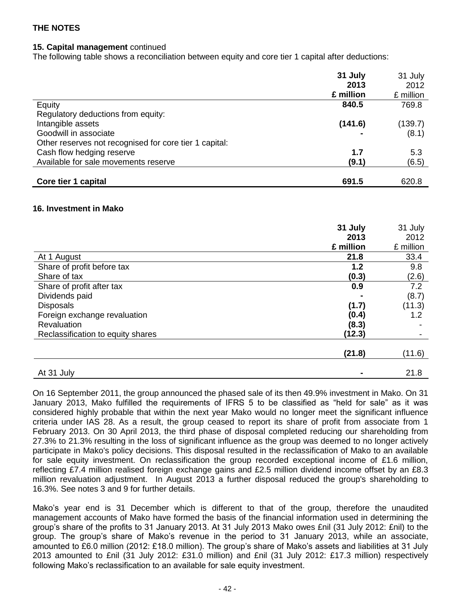### **15. Capital management** continued

The following table shows a reconciliation between equity and core tier 1 capital after deductions:

|                                                        | 31 July   | 31 July   |
|--------------------------------------------------------|-----------|-----------|
|                                                        | 2013      | 2012      |
|                                                        | £ million | £ million |
| Equity                                                 | 840.5     | 769.8     |
| Regulatory deductions from equity:                     |           |           |
| Intangible assets                                      | (141.6)   | (139.7)   |
| Goodwill in associate                                  |           | (8.1)     |
| Other reserves not recognised for core tier 1 capital: |           |           |
| Cash flow hedging reserve                              | 1.7       | 5.3       |
| Available for sale movements reserve                   | (9.1)     | (6.5)     |
|                                                        |           |           |
| Core tier 1 capital                                    | 691.5     | 620.8     |

#### **16. Investment in Mako**

|                                   | 31 July   | 31 July   |
|-----------------------------------|-----------|-----------|
|                                   | 2013      | 2012      |
|                                   | £ million | £ million |
| At 1 August                       | 21.8      | 33.4      |
| Share of profit before tax        | 1.2       | 9.8       |
| Share of tax                      | (0.3)     | (2.6)     |
| Share of profit after tax         | 0.9       | 7.2       |
| Dividends paid                    |           | (8.7)     |
| <b>Disposals</b>                  | (1.7)     | (11.3)    |
| Foreign exchange revaluation      | (0.4)     | 1.2       |
| Revaluation                       | (8.3)     |           |
| Reclassification to equity shares | (12.3)    |           |
|                                   |           |           |
|                                   | (21.8)    | (11.6)    |
|                                   |           |           |
| At 31 July                        |           | 21.8      |

On 16 September 2011, the group announced the phased sale of its then 49.9% investment in Mako. On 31 January 2013, Mako fulfilled the requirements of IFRS 5 to be classified as "held for sale" as it was considered highly probable that within the next year Mako would no longer meet the significant influence criteria under IAS 28. As a result, the group ceased to report its share of profit from associate from 1 February 2013. On 30 April 2013, the third phase of disposal completed reducing our shareholding from 27.3% to 21.3% resulting in the loss of significant influence as the group was deemed to no longer actively participate in Mako's policy decisions. This disposal resulted in the reclassification of Mako to an available for sale equity investment. On reclassification the group recorded exceptional income of £1.6 million, reflecting £7.4 million realised foreign exchange gains and £2.5 million dividend income offset by an £8.3 million revaluation adjustment. In August 2013 a further disposal reduced the group's shareholding to 16.3%. See notes 3 and 9 for further details.

Mako's year end is 31 December which is different to that of the group, therefore the unaudited management accounts of Mako have formed the basis of the financial information used in determining the group's share of the profits to 31 January 2013. At 31 July 2013 Mako owes £nil (31 July 2012: £nil) to the group. The group's share of Mako's revenue in the period to 31 January 2013, while an associate, amounted to £6.0 million (2012: £18.0 million). The group's share of Mako's assets and liabilities at 31 July 2013 amounted to £nil (31 July 2012: £31.0 million) and £nil (31 July 2012: £17.3 million) respectively following Mako's reclassification to an available for sale equity investment.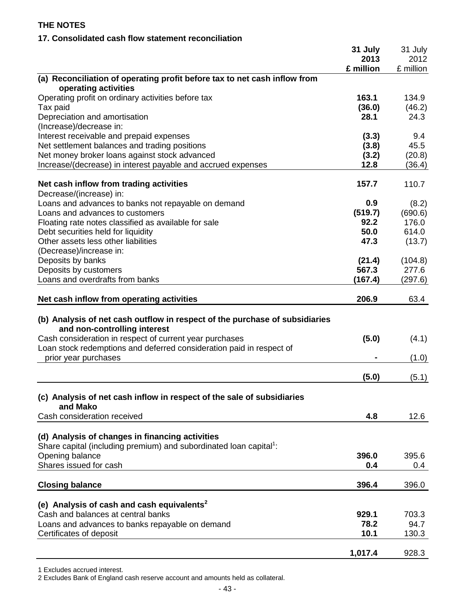## **17. Consolidated cash flow statement reconciliation**

|                                                                                                                                                                                                                                                                        | 31 July<br>2013<br>£ million | 31 July<br>2012<br>£ million |
|------------------------------------------------------------------------------------------------------------------------------------------------------------------------------------------------------------------------------------------------------------------------|------------------------------|------------------------------|
| (a) Reconciliation of operating profit before tax to net cash inflow from<br>operating activities                                                                                                                                                                      |                              |                              |
| Operating profit on ordinary activities before tax<br>Tax paid                                                                                                                                                                                                         | 163.1<br>(36.0)              | 134.9<br>(46.2)              |
| Depreciation and amortisation<br>(Increase)/decrease in:                                                                                                                                                                                                               | 28.1                         | 24.3                         |
| Interest receivable and prepaid expenses<br>Net settlement balances and trading positions                                                                                                                                                                              | (3.3)<br>(3.8)               | 9.4<br>45.5                  |
| Net money broker loans against stock advanced<br>Increase/(decrease) in interest payable and accrued expenses                                                                                                                                                          | (3.2)<br>12.8                | (20.8)<br>(36.4)             |
| Net cash inflow from trading activities<br>Decrease/(increase) in:                                                                                                                                                                                                     | 157.7                        | 110.7                        |
| Loans and advances to banks not repayable on demand<br>Loans and advances to customers                                                                                                                                                                                 | 0.9<br>(519.7)               | (8.2)<br>(690.6)             |
| Floating rate notes classified as available for sale<br>Debt securities held for liquidity                                                                                                                                                                             | 92.2<br>50.0                 | 176.0<br>614.0               |
| Other assets less other liabilities<br>(Decrease)/increase in:                                                                                                                                                                                                         | 47.3                         | (13.7)                       |
| Deposits by banks<br>Deposits by customers                                                                                                                                                                                                                             | (21.4)<br>567.3              | (104.8)<br>277.6             |
| Loans and overdrafts from banks<br>Net cash inflow from operating activities                                                                                                                                                                                           | (167.4)<br>206.9             | (297.6)<br>63.4              |
| (b) Analysis of net cash outflow in respect of the purchase of subsidiaries<br>and non-controlling interest<br>Cash consideration in respect of current year purchases<br>Loan stock redemptions and deferred consideration paid in respect of<br>prior year purchases | (5.0)                        | (4.1)<br>(1.0)               |
|                                                                                                                                                                                                                                                                        | (5.0)                        | (5.1)                        |
| (c) Analysis of net cash inflow in respect of the sale of subsidiaries<br>and Mako                                                                                                                                                                                     |                              |                              |
| Cash consideration received                                                                                                                                                                                                                                            | 4.8                          | 12.6                         |
| (d) Analysis of changes in financing activities<br>Share capital (including premium) and subordinated loan capital <sup>1</sup> :                                                                                                                                      |                              |                              |
| Opening balance<br>Shares issued for cash                                                                                                                                                                                                                              | 396.0<br>0.4                 | 395.6<br>0.4                 |
| <b>Closing balance</b>                                                                                                                                                                                                                                                 | 396.4                        | 396.0                        |
| (e) Analysis of cash and cash equivalents <sup>2</sup>                                                                                                                                                                                                                 |                              |                              |
| Cash and balances at central banks<br>Loans and advances to banks repayable on demand<br>Certificates of deposit                                                                                                                                                       | 929.1<br>78.2<br>10.1        | 703.3<br>94.7<br>130.3       |
|                                                                                                                                                                                                                                                                        | 1,017.4                      | 928.3                        |

2 Excludes Bank of England cash reserve account and amounts held as collateral.